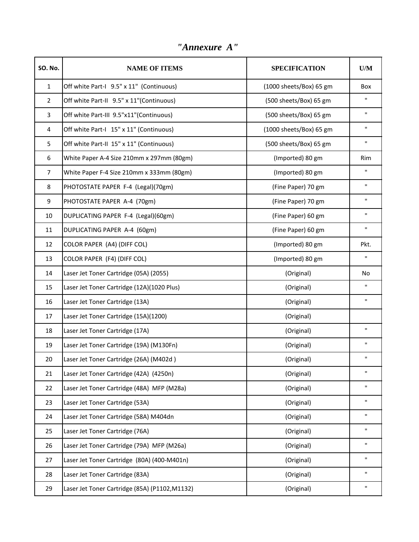| <b>SO. No.</b> | <b>NAME OF ITEMS</b>                                 | <b>SPECIFICATION</b>    | U/M          |
|----------------|------------------------------------------------------|-------------------------|--------------|
| $\mathbf{1}$   | Off white Part-I 9.5" x 11" (Continuous)             | (1000 sheets/Box) 65 gm | Box          |
| $\overline{2}$ | Off white Part-II 9.5" x 11"(Continuous)             | (500 sheets/Box) 65 gm  | п            |
| 3              | Off white Part-III 9.5"x11"(Continuous)              | (500 sheets/Box) 65 gm  | П.           |
| 4              | Off white Part-I 15" x 11" (Continuous)              | (1000 sheets/Box) 65 gm | п            |
| 5              | Off white Part-II 15" x 11" (Continuous)             | (500 sheets/Box) 65 gm  | $\mathbf{H}$ |
| 6              | White Paper A-4 Size 210mm x 297mm (80gm)            | (Imported) 80 gm        | Rim          |
| $\overline{7}$ | White Paper F-4 Size 210mm x 333mm (80gm)            | (Imported) 80 gm        | $\mathbf{H}$ |
| 8              | PHOTOSTATE PAPER F-4 (Legal)(70gm)                   | (Fine Paper) 70 gm      | п            |
| 9              | PHOTOSTATE PAPER A-4 (70gm)                          | (Fine Paper) 70 gm      | п            |
| 10             | DUPLICATING PAPER F-4 (Legal)(60gm)                  | (Fine Paper) 60 gm      | п            |
| 11             | DUPLICATING PAPER A-4 (60gm)                         | (Fine Paper) 60 gm      | $\mathbf{H}$ |
| 12             | COLOR PAPER (A4) (DIFF COL)                          | (Imported) 80 gm        | Pkt.         |
| 13             | COLOR PAPER (F4) (DIFF COL)                          | (Imported) 80 gm        | п            |
| 14             | Laser Jet Toner Cartridge (05A) (2055)<br>(Original) |                         | No           |
| 15             | Laser Jet Toner Cartridge (12A)(1020 Plus)           | (Original)              | $\mathbf{H}$ |
| 16             | Laser Jet Toner Cartridge (13A)                      | (Original)              | п            |
| 17             | Laser Jet Toner Cartridge (15A)(1200)                | (Original)              |              |
| 18             | Laser Jet Toner Cartridge (17A)                      | (Original)              | п            |
| 19             | Laser Jet Toner Cartridge (19A) (M130Fn)             | (Original)              | $\mathbf{H}$ |
| 20             | Laser Jet Toner Cartridge (26A) (M402d)              | (Original)              | п            |
| 21             | Laser Jet Toner Cartridge (42A) (4250n)              | (Original)              | П            |
| 22             | Laser Jet Toner Cartridge (48A) MFP (M28a)           | (Original)              | п            |
| 23             | Laser Jet Toner Cartridge (53A)                      | (Original)              | п            |
| 24             | Laser Jet Toner Cartridge (58A) M404dn               | (Original)              | п            |
| 25             | Laser Jet Toner Cartridge (76A)                      | (Original)              | п            |
| 26             | Laser Jet Toner Cartridge (79A) MFP (M26a)           | (Original)              | п            |
| 27             | Laser Jet Toner Cartridge (80A) (400-M401n)          | (Original)              | п            |
| 28             | Laser Jet Toner Cartridge (83A)                      | (Original)              | п            |
| 29             | Laser Jet Toner Cartridge (85A) (P1102, M1132)       | (Original)              | п            |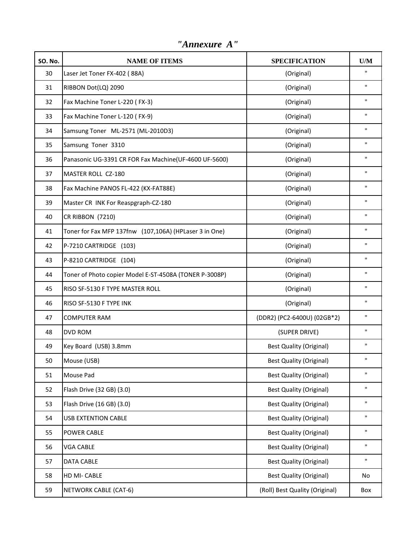| <b>SO. No.</b> | <b>NAME OF ITEMS</b>                                   | <b>SPECIFICATION</b>           | U/M                |
|----------------|--------------------------------------------------------|--------------------------------|--------------------|
| 30             | Laser Jet Toner FX-402 (88A)                           | (Original)                     | п                  |
| 31             | RIBBON Dot(LQ) 2090                                    | (Original)                     | $\mathbf{H}$       |
| 32             | Fax Machine Toner L-220 (FX-3)                         | (Original)                     | $\pmb{\mathsf{H}}$ |
| 33             | Fax Machine Toner L-120 (FX-9)                         | (Original)                     | $\pmb{\mathsf{H}}$ |
| 34             | Samsung Toner ML-2571 (ML-2010D3)                      | (Original)                     | $\pmb{\mathsf{H}}$ |
| 35             | Samsung Toner 3310                                     | (Original)                     | $\mathbf{H}$       |
| 36             | Panasonic UG-3391 CR FOR Fax Machine(UF-4600 UF-5600)  | (Original)                     | $\pmb{\mathsf{H}}$ |
| 37             | MASTER ROLL CZ-180                                     | (Original)                     | $\pmb{\mathsf{H}}$ |
| 38             | Fax Machine PANOS FL-422 (KX-FAT88E)                   | (Original)                     | $\pmb{\mathsf{H}}$ |
| 39             | Master CR INK For Reaspgraph-CZ-180                    | (Original)                     | $\pmb{\mathsf{H}}$ |
| 40             | CR RIBBON (7210)                                       | (Original)                     | $\pmb{\mathsf{H}}$ |
| 41             | Toner for Fax MFP 137fnw (107,106A) (HPLaser 3 in One) | (Original)                     | $\pmb{\mathsf{H}}$ |
| 42             | P-7210 CARTRIDGE (103)                                 | (Original)                     | $\pmb{\mathsf{H}}$ |
| 43             | P-8210 CARTRIDGE (104)                                 | (Original)                     | $\pmb{\mathsf{H}}$ |
| 44             | Toner of Photo copier Model E-ST-4508A (TONER P-3008P) | (Original)                     | $\pmb{\mathsf{H}}$ |
| 45             | RISO SF-5130 F TYPE MASTER ROLL                        | (Original)                     |                    |
| 46             | RISO SF-5130 F TYPE INK                                | (Original)                     |                    |
| 47             | <b>COMPUTER RAM</b>                                    | (DDR2) (PC2-6400U) (02GB*2)    |                    |
| 48             | <b>DVD ROM</b>                                         | (SUPER DRIVE)                  | $\pmb{\mathsf{H}}$ |
| 49             | Key Board (USB) 3.8mm                                  | <b>Best Quality (Original)</b> | $\mathbf{H}$       |
| 50             | Mouse (USB)                                            | <b>Best Quality (Original)</b> | $\pmb{\mathsf{H}}$ |
| 51             | Mouse Pad                                              | <b>Best Quality (Original)</b> | $\pmb{\mathsf{H}}$ |
| 52             | Flash Drive (32 GB) (3.0)                              | <b>Best Quality (Original)</b> | $\pmb{\mathsf{H}}$ |
| 53             | Flash Drive (16 GB) (3.0)                              | <b>Best Quality (Original)</b> | $\mathbf H$        |
| 54             | <b>USB EXTENTION CABLE</b>                             | <b>Best Quality (Original)</b> | $\pmb{\mathsf{H}}$ |
| 55             | <b>POWER CABLE</b>                                     | <b>Best Quality (Original)</b> | $\pmb{\mathsf{H}}$ |
| 56             | <b>VGA CABLE</b>                                       | <b>Best Quality (Original)</b> | $\pmb{\mathsf{H}}$ |
| 57             | <b>DATA CABLE</b>                                      | <b>Best Quality (Original)</b> | $\mathbf{H}$       |
| 58             | HD MI- CABLE                                           | <b>Best Quality (Original)</b> | No                 |
| 59             | <b>NETWORK CABLE (CAT-6)</b>                           | (Roll) Best Quality (Original) | Box                |

*"Annexure A"*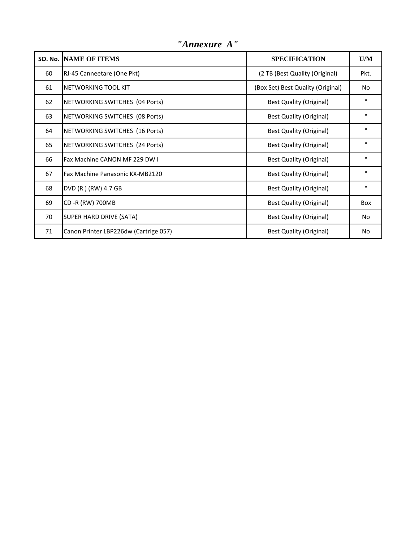|    | <b>SO. No. INAME OF ITEMS</b>         | <b>SPECIFICATION</b>              | U/M          |
|----|---------------------------------------|-----------------------------------|--------------|
| 60 | RJ-45 Canneetare (One Pkt)            | (2 TB ) Best Quality (Original)   | Pkt.         |
| 61 | <b>INETWORKING TOOL KIT</b>           | (Box Set) Best Quality (Original) | No           |
| 62 | NETWORKING SWITCHES (04 Ports)        | <b>Best Quality (Original)</b>    | $\mathbf H$  |
| 63 | NETWORKING SWITCHES (08 Ports)        | <b>Best Quality (Original)</b>    | $\mathbf{H}$ |
| 64 | NETWORKING SWITCHES (16 Ports)        | <b>Best Quality (Original)</b>    | $\mathbf{H}$ |
| 65 | NETWORKING SWITCHES (24 Ports)        | <b>Best Quality (Original)</b>    | $\mathbf{H}$ |
| 66 | <b>Fax Machine CANON MF 229 DW I</b>  | <b>Best Quality (Original)</b>    | $\mathbf{H}$ |
| 67 | Fax Machine Panasonic KX-MB2120       | Best Quality (Original)           | $\mathbf H$  |
| 68 | DVD (R) (RW) 4.7 GB                   | Best Quality (Original)           | $\mathbf{H}$ |
| 69 | CD -R (RW) 700MB                      | <b>Best Quality (Original)</b>    | Box          |
| 70 | SUPER HARD DRIVE (SATA)               | Best Quality (Original)           | No           |
| 71 | Canon Printer LBP226dw (Cartrige 057) | <b>Best Quality (Original)</b>    | No           |

*"Annexure A"*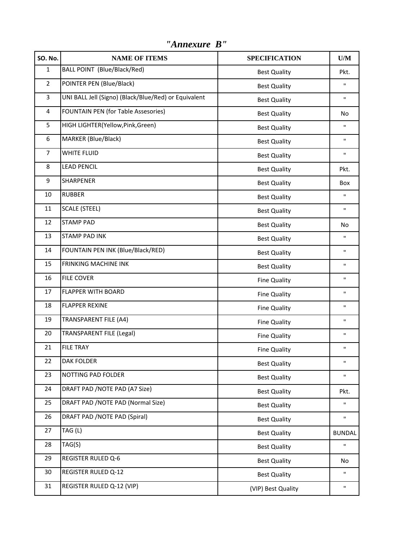| <b>SO. No.</b> | <b>NAME OF ITEMS</b>                                 | <b>SPECIFICATION</b> | U/M           |
|----------------|------------------------------------------------------|----------------------|---------------|
| $\mathbf{1}$   | BALL POINT (Blue/Black/Red)<br><b>Best Quality</b>   |                      | Pkt.          |
| $\overline{2}$ | POINTER PEN (Blue/Black)                             | <b>Best Quality</b>  | $\mathbf{H}$  |
| 3              | UNI BALL Jell (Signo) (Black/Blue/Red) or Equivalent | <b>Best Quality</b>  | $\mathbf{H}$  |
| 4              | FOUNTAIN PEN (for Table Assesories)                  | <b>Best Quality</b>  | No            |
| 5              | HIGH LIGHTER(Yellow, Pink, Green)                    | <b>Best Quality</b>  | $\mathbf{H}$  |
| 6              | MARKER (Blue/Black)                                  | <b>Best Quality</b>  | $\mathbf{H}$  |
| 7              | <b>WHITE FLUID</b>                                   | <b>Best Quality</b>  | $\mathbf{H}$  |
| 8              | <b>LEAD PENCIL</b>                                   | <b>Best Quality</b>  | Pkt.          |
| 9              | <b>SHARPENER</b>                                     | <b>Best Quality</b>  | Box           |
| 10             | <b>RUBBER</b>                                        | <b>Best Quality</b>  | $\mathbf{H}$  |
| 11             | <b>SCALE (STEEL)</b>                                 | <b>Best Quality</b>  | $\mathbf{H}$  |
| 12             | <b>STAMP PAD</b>                                     | <b>Best Quality</b>  | <b>No</b>     |
| 13             | <b>STAMP PAD INK</b>                                 | <b>Best Quality</b>  | $\mathbf{H}$  |
| 14             | FOUNTAIN PEN INK (Blue/Black/RED)                    | <b>Best Quality</b>  | $\mathbf{H}$  |
| 15             | <b>FRINKING MACHINE INK</b><br><b>Best Quality</b>   |                      | $\mathbf{H}$  |
| 16             | <b>FILE COVER</b>                                    | <b>Fine Quality</b>  | $\mathbf{H}$  |
| 17             | <b>FLAPPER WITH BOARD</b>                            | <b>Fine Quality</b>  | $\mathbf{H}$  |
| 18             | <b>FLAPPER REXINE</b>                                | <b>Fine Quality</b>  | $\mathbf{H}$  |
| 19             | <b>TRANSPARENT FILE (A4)</b>                         | Fine Quality         | $\mathbf{H}$  |
| 20             | <b>TRANSPARENT FILE (Legal)</b>                      | <b>Fine Quality</b>  | $\mathbf{H}$  |
| 21             | <b>FILE TRAY</b>                                     | <b>Fine Quality</b>  | $\mathbf{H}$  |
| 22             | <b>DAK FOLDER</b>                                    | <b>Best Quality</b>  | $\mathbf H$   |
| 23             | NOTTING PAD FOLDER                                   | <b>Best Quality</b>  | $\mathbf{H}$  |
| 24             | DRAFT PAD / NOTE PAD (A7 Size)                       | <b>Best Quality</b>  | Pkt.          |
| 25             | DRAFT PAD /NOTE PAD (Normal Size)                    | <b>Best Quality</b>  | $\mathbf{H}$  |
| 26             | DRAFT PAD / NOTE PAD (Spiral)                        | <b>Best Quality</b>  | $\mathbf{H}$  |
| 27             | TAG (L)                                              | <b>Best Quality</b>  | <b>BUNDAL</b> |
| 28             | TAG(S)                                               | <b>Best Quality</b>  | $\mathbf{H}$  |
| 29             | <b>REGISTER RULED Q-6</b>                            | <b>Best Quality</b>  | No            |
| 30             | REGISTER RULED Q-12                                  | <b>Best Quality</b>  | $\mathbf H$   |
| 31             | REGISTER RULED Q-12 (VIP)                            | (VIP) Best Quality   | $\mathbf{H}$  |

*"Annexure B"*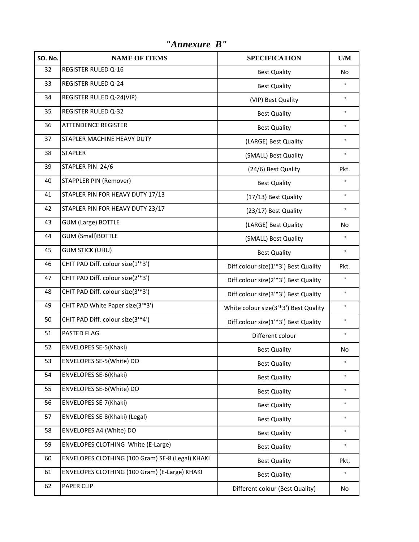**SO. No. NAME OF ITEMS SPECIFICATION U/M** 32 REGISTER RULED Q-16 Best Quality No 33 REGISTER RULED Q-24 **Best Quality** Best Quality **Best Quality** The Material Research  $\frac{1}{2}$ 34 REGISTER RULED Q-24(VIP) **Fig. 1.1 CONSUMER SET ALL ASSESS** (VIP) Best Quality 35 REGISTER RULED Q-32 **Best Quality** Best Quality **Best Quality** 36 ATTENDENCE REGISTER **BEST EXECUTE A** Best Quality **Best Quality** The Matter of Section 1 37 STAPLER MACHINE HEAVY DUTY **120 CONTROLLY CONTROLLY AND REAVY DUTY** (LARGE) Best Quality 38 STAPLER (SMALL) Best Quality  $\blacksquare$ 39 STAPLER PIN 24/6 **Example 24/6** (24/6) Best Quality Pkt. 40 STAPPLER PIN (Remover) and the set of the set of the Best Quality and the set of the set of the set of the set of the set of the set of the set of the set of the set of the set of the set of the set of the set of the se 41 STAPLER PIN FOR HEAVY DUTY 17/13 (17/13) Best Quality 42 STAPLER PIN FOR HEAVY DUTY 23/17 (23/17) Best Quality | " 43 GUM (Large) BOTTLE **Alternative Contract Contract Contract Contract Contract Contract Contract Contract Contract Contract Contract Contract Contract Contract Contract Contract Contract Contract Contract Contract Contrac** 44 GUM (Small)BOTTLE (SMALL) Best Quality  $\begin{array}{ccc} \hline \end{array}$ 45 GUM STICK (UHU) **Best Quality Best Quality Best Quality** 46 CHIT PAD Diff. colour size(1'\*3') **Diff.colour size(1'\*3') Best Quality** Pkt. 47 CHIT PAD Diff. colour size(2<sup>'\*</sup>3') Diff.colour size(2'\*3') Best Quality | " 48 CHIT PAD Diff. colour size(3<sup>'\*</sup>3') Diff.colour size(3'\*3') Best Quality | " 49 CHIT PAD White Paper size(3<sup>'\*</sup>3') **White colour size(3'\*3') Best Quality** " 50 CHIT PAD Diff. colour size(3'\*4') Diff.colour size(1'\*3') Best Quality " 51 PASTED FLAG **Different colour** 52 ENVELOPES SE-5(Khaki) and the set of the set of the set of the set of the set of the set of the set of the set of the set of the set of the set of the set of the set of the set of the set of the set of the set of the se 53 ENVELOPES SE-5(White) DO **Best Quality** Best Quality **Best Quality** The Manus Rest Quality The Manus Rest Quality 54 ENVELOPES SE-6(Khaki) Best Quality Best Quality Provided at the Material Section of the Material Section of the Material Section of the Material Section of the Material Section of the Material Section of the Material Se 55 ENVELOPES SE-6(White) DO **Best Quality** Best Quality **Best Quality** The Manuscription of the Manuscription of the Manuscription of the Manuscription of the Manuscription of the Manuscription of the Manuscription of the 56 ENVELOPES SE-7(Khaki) and the set of the set of the Best Quality and the set of the set of the set of the set of the set of the set of the set of the set of the set of the set of the set of the set of the set of the set 57 ENVELOPES SE-8(Khaki) (Legal) Best Quality Best Quality Public Contract Contract Contract Contract Contract Contract Contract Contract Contract Contract Contract Contract Contract Contract Contract Contract Contract Con 58 ENVELOPES A4 (White) DO **Best Quality Best Quality Best Quality Best Quality** 59 ENVELOPES CLOTHING White (E-Large) **Best Quality** Best Quality **Best Quality** " 60 ENVELOPES CLOTHING (100 Gram) SE-8 (Legal) KHAKI Best Quality Best Quality 61 ENVELOPES CLOTHING (100 Gram) (E-Large) KHAKI Best Quality " 62 PAPER CLIP No. No. 2014 12:00 Different colour (Best Quality) No.

*"Annexure B"*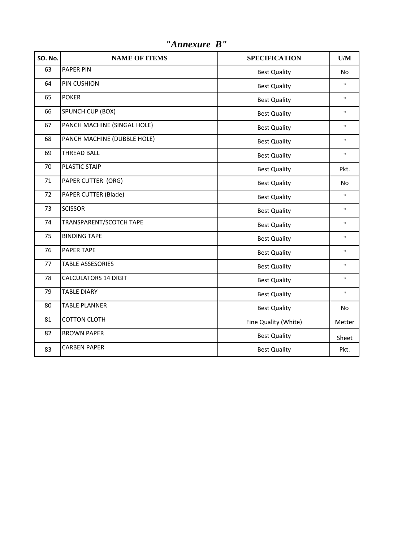| <b>SO. No.</b> | <b>NAME OF ITEMS</b>        | <b>SPECIFICATION</b> | U/M          |
|----------------|-----------------------------|----------------------|--------------|
| 63             | <b>PAPER PIN</b>            | <b>Best Quality</b>  | No           |
| 64             | PIN CUSHION                 | <b>Best Quality</b>  | п            |
| 65             | <b>POKER</b>                | <b>Best Quality</b>  | п            |
| 66             | SPUNCH CUP (BOX)            | <b>Best Quality</b>  | п            |
| 67             | PANCH MACHINE (SINGAL HOLE) | <b>Best Quality</b>  | п            |
| 68             | PANCH MACHINE (DUBBLE HOLE) | <b>Best Quality</b>  | п            |
| 69             | <b>THREAD BALL</b>          | <b>Best Quality</b>  | п            |
| 70             | PLASTIC STAIP               | <b>Best Quality</b>  | Pkt.         |
| 71             | PAPER CUTTER (ORG)          | <b>Best Quality</b>  | <b>No</b>    |
| 72             | PAPER CUTTER (Blade)        | <b>Best Quality</b>  | $\mathbf{H}$ |
| 73             | <b>SCISSOR</b>              | <b>Best Quality</b>  | п            |
| 74             | TRANSPARENT/SCOTCH TAPE     | <b>Best Quality</b>  | п            |
| 75             | <b>BINDING TAPE</b>         | <b>Best Quality</b>  | п            |
| 76             | <b>PAPER TAPE</b>           | <b>Best Quality</b>  | п            |
| 77             | <b>TABLE ASSESORIES</b>     | <b>Best Quality</b>  | H.           |
| 78             | <b>CALCULATORS 14 DIGIT</b> | <b>Best Quality</b>  | п            |
| 79             | <b>TABLE DIARY</b>          | <b>Best Quality</b>  | $\mathbf{u}$ |
| 80             | <b>TABLE PLANNER</b>        | <b>Best Quality</b>  | No           |
| 81             | <b>COTTON CLOTH</b>         | Fine Quality (White) | Metter       |
| 82             | <b>BROWN PAPER</b>          | <b>Best Quality</b>  | Sheet        |
| 83             | <b>CARBEN PAPER</b>         | <b>Best Quality</b>  | Pkt.         |

*"Annexure B"*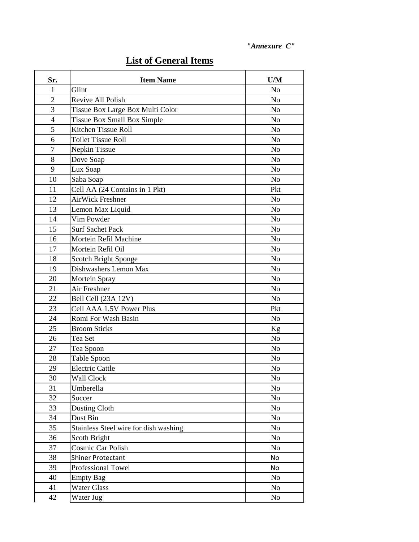| Sr.            | <b>Item Name</b>                      | U/M            |
|----------------|---------------------------------------|----------------|
| 1              | Glint                                 | N <sub>o</sub> |
| $\overline{2}$ | Revive All Polish                     | N <sub>o</sub> |
| 3              | Tissue Box Large Box Multi Color      | N <sub>o</sub> |
| $\overline{4}$ | Tissue Box Small Box Simple           | N <sub>o</sub> |
| 5              | Kitchen Tissue Roll                   | N <sub>o</sub> |
| 6              | <b>Toilet Tissue Roll</b>             | N <sub>o</sub> |
| $\overline{7}$ | Nepkin Tissue                         | N <sub>o</sub> |
| 8              | Dove Soap                             | N <sub>o</sub> |
| 9              | Lux Soap                              | N <sub>o</sub> |
| 10             | Saba Soap                             | N <sub>o</sub> |
| 11             | Cell AA (24 Contains in 1 Pkt)        | Pkt            |
| 12             | <b>AirWick Freshner</b>               | N <sub>o</sub> |
| 13             | Lemon Max Liquid                      | N <sub>o</sub> |
| 14             | Vim Powder                            | N <sub>o</sub> |
| 15             | <b>Surf Sachet Pack</b>               | N <sub>o</sub> |
| 16             | Mortein Refil Machine                 | N <sub>o</sub> |
| 17             | Mortein Refil Oil                     | N <sub>o</sub> |
| 18             | Scotch Bright Sponge                  | No             |
| 19             | Dishwashers Lemon Max                 | N <sub>o</sub> |
| 20             | Mortein Spray                         | N <sub>o</sub> |
| 21             | Air Freshner                          | N <sub>o</sub> |
| 22             | Bell Cell (23A 12V)                   | N <sub>o</sub> |
| 23             | Cell AAA 1.5V Power Plus              | Pkt            |
| 24             | Romi For Wash Basin                   | N <sub>o</sub> |
| 25             | <b>Broom Sticks</b>                   | Kg             |
| 26             | Tea Set                               | N <sub>o</sub> |
| 27             | Tea Spoon                             | N <sub>o</sub> |
| 28             | Table Spoon                           | N <sub>o</sub> |
| 29             | <b>Electric Cattle</b>                | No             |
| 30             | Wall Clock                            | No             |
| 31             | Umberella                             | N <sub>o</sub> |
| 32             | Soccer                                | N <sub>0</sub> |
| 33             | <b>Dusting Cloth</b>                  | N <sub>o</sub> |
| 34             | Dust Bin                              | No             |
| 35             | Stainless Steel wire for dish washing | No             |
| 36             | Scoth Bright                          | N <sub>0</sub> |
| 37             | Cosmic Car Polish                     | N <sub>0</sub> |
| 38             | <b>Shiner Protectant</b>              | No             |
| 39             | Professional Towel                    | No             |
| 40             | <b>Empty Bag</b>                      | No             |
| 41             | <b>Water Glass</b>                    | N <sub>0</sub> |
| 42             | Water Jug                             | No             |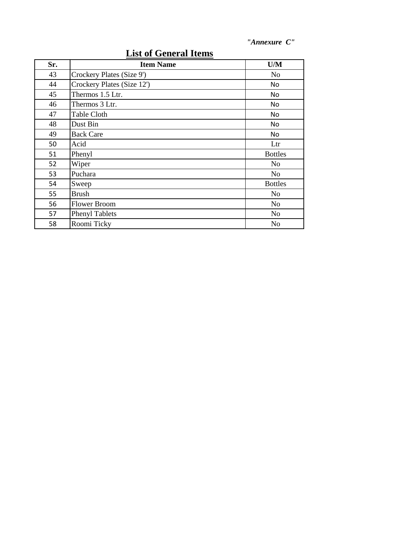| Sr. | <b>Item Name</b>           | U/M            |
|-----|----------------------------|----------------|
| 43  | Crockery Plates (Size 9')  | N <sub>0</sub> |
| 44  | Crockery Plates (Size 12') | No             |
| 45  | Thermos 1.5 Ltr.           | No             |
| 46  | Thermos 3 Ltr.             | No             |
| 47  | Table Cloth                | No             |
| 48  | Dust Bin                   | No             |
| 49  | <b>Back Care</b>           | No             |
| 50  | Acid                       | Ltr            |
| 51  | Phenyl                     | <b>Bottles</b> |
| 52  | Wiper                      | N <sub>0</sub> |
| 53  | Puchara                    | No             |
| 54  | Sweep                      | <b>Bottles</b> |
| 55  | <b>Brush</b>               | No             |
| 56  | <b>Flower Broom</b>        | N <sub>o</sub> |
| 57  | <b>Phenyl Tablets</b>      | N <sub>o</sub> |
| 58  | Roomi Ticky                | No             |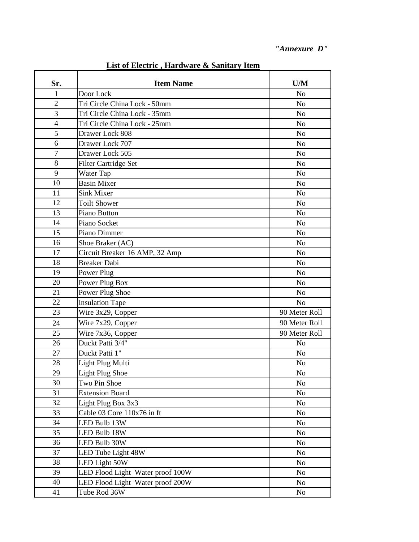| <u>List of Electric , Hardware &amp; Sailliary Tient</u> |                                  |                |  |
|----------------------------------------------------------|----------------------------------|----------------|--|
| Sr.                                                      | <b>Item Name</b>                 | U/M            |  |
| $\mathbf{1}$                                             | Door Lock                        | N <sub>o</sub> |  |
| $\overline{2}$                                           | Tri Circle China Lock - 50mm     | N <sub>o</sub> |  |
| 3                                                        | Tri Circle China Lock - 35mm     | N <sub>o</sub> |  |
| $\overline{4}$                                           | Tri Circle China Lock - 25mm     | N <sub>0</sub> |  |
| 5                                                        | Drawer Lock 808                  | N <sub>o</sub> |  |
| 6                                                        | Drawer Lock 707                  | N <sub>o</sub> |  |
| $\overline{7}$                                           | Drawer Lock 505                  | N <sub>0</sub> |  |
| 8                                                        | <b>Filter Cartridge Set</b>      | N <sub>o</sub> |  |
| 9                                                        | Water Tap                        | N <sub>o</sub> |  |
| 10                                                       | <b>Basin Mixer</b>               | N <sub>o</sub> |  |
| 11                                                       | Sink Mixer                       | N <sub>o</sub> |  |
| 12                                                       | <b>Toilt Shower</b>              | N <sub>0</sub> |  |
| 13                                                       | Piano Button                     | N <sub>o</sub> |  |
| 14                                                       | Piano Socket                     | N <sub>o</sub> |  |
| 15                                                       | Piano Dimmer                     | N <sub>o</sub> |  |
| 16                                                       | Shoe Braker (AC)                 | $\rm No$       |  |
| 17                                                       | Circuit Breaker 16 AMP, 32 Amp   | N <sub>o</sub> |  |
| 18                                                       | <b>Breaker Dabi</b>              | N <sub>o</sub> |  |
| 19                                                       | Power Plug                       | N <sub>0</sub> |  |
| 20                                                       | Power Plug Box                   | N <sub>o</sub> |  |
| 21                                                       | Power Plug Shoe                  | N <sub>o</sub> |  |
| 22                                                       | <b>Insulation Tape</b>           | N <sub>o</sub> |  |
| 23                                                       | Wire 3x29, Copper                | 90 Meter Roll  |  |
| 24                                                       | Wire 7x29, Copper                | 90 Meter Roll  |  |
| 25                                                       | Wire 7x36, Copper                | 90 Meter Roll  |  |
| 26                                                       | Duckt Patti 3/4"                 | N <sub>o</sub> |  |
| 27                                                       | Duckt Patti 1"                   | N <sub>o</sub> |  |
| 28                                                       | Light Plug Multi                 | No             |  |
| 29                                                       | Light Plug Shoe                  | No             |  |
| 30                                                       | Two Pin Shoe                     | No             |  |
| 31                                                       | <b>Extension Board</b>           | N <sub>0</sub> |  |
| 32                                                       | Light Plug Box 3x3               | N <sub>0</sub> |  |
| 33                                                       | Cable 03 Core 110x76 in ft       | N <sub>0</sub> |  |
| 34                                                       | LED Bulb 13W                     | N <sub>0</sub> |  |
| 35                                                       | LED Bulb 18W                     | N <sub>o</sub> |  |
| 36                                                       | LED Bulb 30W                     | <b>No</b>      |  |
| 37                                                       | LED Tube Light 48W               | N <sub>0</sub> |  |
| 38                                                       | LED Light 50W                    | N <sub>0</sub> |  |
| 39                                                       | LED Flood Light Water proof 100W | N <sub>0</sub> |  |
| 40                                                       | LED Flood Light Water proof 200W | N <sub>0</sub> |  |
| 41                                                       | Tube Rod 36W                     | N <sub>o</sub> |  |

**List of Electric , Hardware & Sanitary Item**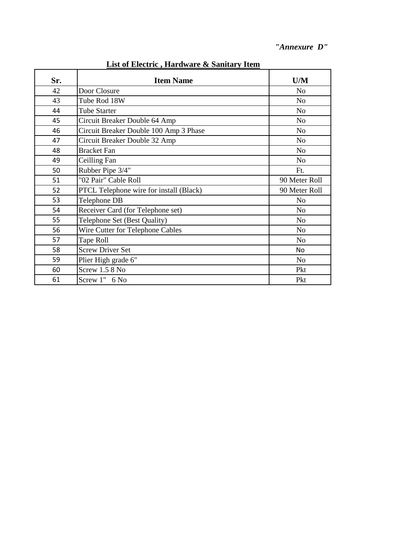| 2150 or Encentre, martin arc ex Bannary Tienn |                                         |                |  |
|-----------------------------------------------|-----------------------------------------|----------------|--|
| Sr.                                           | <b>Item Name</b>                        | U/M            |  |
| 42                                            | Door Closure                            | No             |  |
| 43                                            | Tube Rod 18W                            | N <sub>o</sub> |  |
| 44                                            | <b>Tube Starter</b>                     | N <sub>o</sub> |  |
| 45                                            | Circuit Breaker Double 64 Amp           | N <sub>o</sub> |  |
| 46                                            | Circuit Breaker Double 100 Amp 3 Phase  | N <sub>o</sub> |  |
| 47                                            | Circuit Breaker Double 32 Amp           | N <sub>o</sub> |  |
| 48                                            | <b>Bracket Fan</b>                      | N <sub>0</sub> |  |
| 49                                            | Ceilling Fan                            | N <sub>o</sub> |  |
| 50                                            | Rubber Pipe 3/4"                        | Ft.            |  |
| 51                                            | "02 Pair" Cable Roll                    | 90 Meter Roll  |  |
| 52                                            | PTCL Telephone wire for install (Black) | 90 Meter Roll  |  |
| 53                                            | Telephone DB                            | No             |  |
| 54                                            | Receiver Card (for Telephone set)       | N <sub>0</sub> |  |
| 55                                            | Telephone Set (Best Quality)            | N <sub>o</sub> |  |
| 56                                            | Wire Cutter for Telephone Cables        | N <sub>0</sub> |  |
| 57                                            | Tape Roll                               | N <sub>o</sub> |  |
| 58                                            | <b>Screw Driver Set</b>                 | No             |  |
| 59                                            | Plier High grade 6"                     | No             |  |
| 60                                            | Screw 1.5 8 No                          | Pkt            |  |
| 61                                            | Screw 1" 6 No                           | Pkt            |  |

**List of Electric , Hardware & Sanitary Item**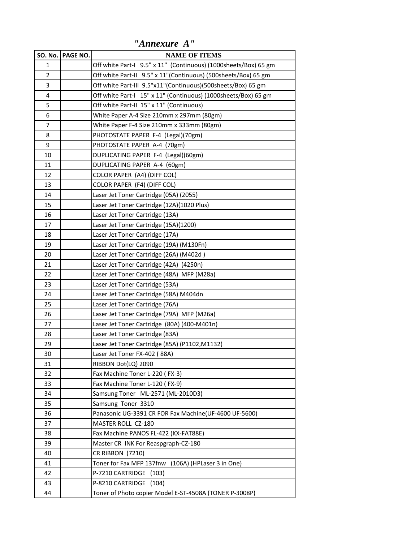|                | SO. No. PAGE NO. | <b>NAME OF ITEMS</b>                                            |
|----------------|------------------|-----------------------------------------------------------------|
| 1              |                  | Off white Part-I 9.5" x 11" (Continuous) (1000sheets/Box) 65 gm |
| $\overline{2}$ |                  | Off white Part-II 9.5" x 11"(Continuous) (500sheets/Box) 65 gm  |
| 3              |                  | Off white Part-III 9.5"x11"(Continuous)(500sheets/Box) 65 gm    |
| 4              |                  | Off white Part-I 15" x 11" (Continuous) (1000sheets/Box) 65 gm  |
| 5              |                  | Off white Part-II 15" x 11" (Continuous)                        |
| 6              |                  | White Paper A-4 Size 210mm x 297mm (80gm)                       |
| 7              |                  | White Paper F-4 Size 210mm x 333mm (80gm)                       |
| 8              |                  | PHOTOSTATE PAPER F-4 (Legal)(70gm)                              |
| 9              |                  | PHOTOSTATE PAPER A-4 (70gm)                                     |
| 10             |                  | DUPLICATING PAPER F-4 (Legal)(60gm)                             |
| 11             |                  | DUPLICATING PAPER A-4 (60gm)                                    |
| 12             |                  | COLOR PAPER (A4) (DIFF COL)                                     |
| 13             |                  | COLOR PAPER (F4) (DIFF COL)                                     |
| 14             |                  | Laser Jet Toner Cartridge (05A) (2055)                          |
| 15             |                  | Laser Jet Toner Cartridge (12A)(1020 Plus)                      |
| 16             |                  | Laser Jet Toner Cartridge (13A)                                 |
| 17             |                  | Laser Jet Toner Cartridge (15A)(1200)                           |
| 18             |                  | Laser Jet Toner Cartridge (17A)                                 |
| 19             |                  | Laser Jet Toner Cartridge (19A) (M130Fn)                        |
| 20             |                  | Laser Jet Toner Cartridge (26A) (M402d)                         |
| 21             |                  | Laser Jet Toner Cartridge (42A) (4250n)                         |
| 22             |                  | Laser Jet Toner Cartridge (48A) MFP (M28a)                      |
| 23             |                  | Laser Jet Toner Cartridge (53A)                                 |
| 24             |                  | Laser Jet Toner Cartridge (58A) M404dn                          |
| 25             |                  | Laser Jet Toner Cartridge (76A)                                 |
| 26             |                  | Laser Jet Toner Cartridge (79A) MFP (M26a)                      |
| 27             |                  | Laser Jet Toner Cartridge (80A) (400-M401n)                     |
| 28             |                  | Laser Jet Toner Cartridge (83A)                                 |
| 29             |                  | Laser Jet Toner Cartridge (85A) (P1102, M1132)                  |
| 30             |                  | Laser Jet Toner FX-402 (88A)                                    |
| 31             |                  | RIBBON Dot(LQ) 2090                                             |
| 32             |                  | Fax Machine Toner L-220 (FX-3)                                  |
| 33             |                  | Fax Machine Toner L-120 (FX-9)                                  |
| 34             |                  | Samsung Toner ML-2571 (ML-2010D3)                               |
| 35             |                  | Samsung Toner 3310                                              |
| 36             |                  | Panasonic UG-3391 CR FOR Fax Machine(UF-4600 UF-5600)           |
| 37             |                  | MASTER ROLL CZ-180                                              |
| 38             |                  | Fax Machine PANOS FL-422 (KX-FAT88E)                            |
| 39             |                  | Master CR INK For Reaspgraph-CZ-180                             |
| 40             |                  | CR RIBBON (7210)                                                |
| 41             |                  | Toner for Fax MFP 137fnw (106A) (HPLaser 3 in One)              |
| 42             |                  | P-7210 CARTRIDGE<br>(103)                                       |
| 43             |                  | P-8210 CARTRIDGE (104)                                          |
| 44             |                  | Toner of Photo copier Model E-ST-4508A (TONER P-3008P)          |

*"Annexure A"*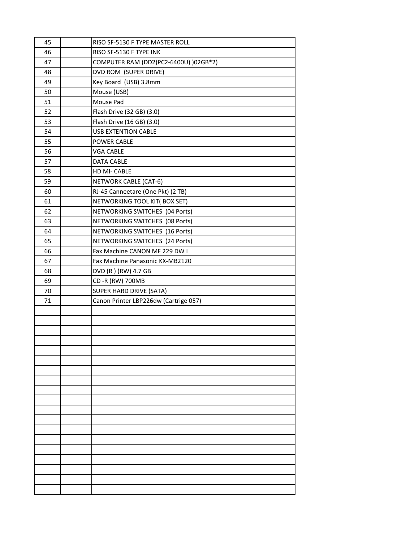| 45 | RISO SF-5130 F TYPE MASTER ROLL       |
|----|---------------------------------------|
| 46 | RISO SF-5130 F TYPE INK               |
| 47 | COMPUTER RAM (DD2)PC2-6400U) )02GB*2) |
| 48 | DVD ROM (SUPER DRIVE)                 |
| 49 | Key Board (USB) 3.8mm                 |
| 50 | Mouse (USB)                           |
| 51 | Mouse Pad                             |
| 52 | Flash Drive (32 GB) (3.0)             |
| 53 | Flash Drive (16 GB) (3.0)             |
| 54 | <b>USB EXTENTION CABLE</b>            |
| 55 | POWER CABLE                           |
| 56 | VGA CABLE                             |
| 57 | DATA CABLE                            |
| 58 | HD MI-CABLE                           |
| 59 | NETWORK CABLE (CAT-6)                 |
| 60 | RJ-45 Canneetare (One Pkt) (2 TB)     |
| 61 | NETWORKING TOOL KIT( BOX SET)         |
| 62 | NETWORKING SWITCHES (04 Ports)        |
| 63 | NETWORKING SWITCHES (08 Ports)        |
| 64 | NETWORKING SWITCHES (16 Ports)        |
| 65 | NETWORKING SWITCHES (24 Ports)        |
| 66 | Fax Machine CANON MF 229 DW I         |
| 67 | Fax Machine Panasonic KX-MB2120       |
| 68 | DVD (R) (RW) 4.7 GB                   |
| 69 | CD-R (RW) 700MB                       |
| 70 | SUPER HARD DRIVE (SATA)               |
| 71 | Canon Printer LBP226dw (Cartrige 057) |
|    |                                       |
|    |                                       |
|    |                                       |
|    |                                       |
|    |                                       |
|    |                                       |
|    |                                       |
|    |                                       |
|    |                                       |
|    |                                       |
|    |                                       |
|    |                                       |
|    |                                       |
|    |                                       |
|    |                                       |
|    |                                       |
|    |                                       |
|    |                                       |
|    |                                       |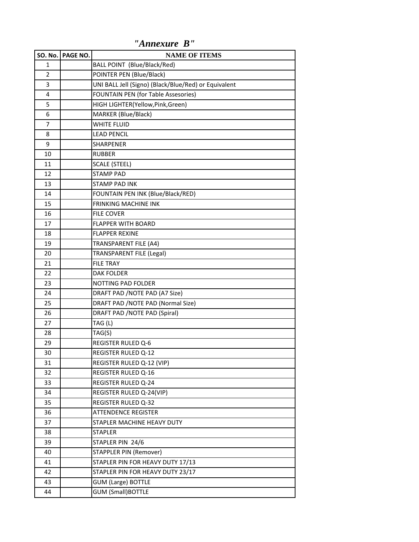|                | SO. No. PAGE NO. | <b>NAME OF ITEMS</b>                                 |
|----------------|------------------|------------------------------------------------------|
| 1              |                  | BALL POINT (Blue/Black/Red)                          |
| $\overline{2}$ |                  | POINTER PEN (Blue/Black)                             |
| 3              |                  | UNI BALL Jell (Signo) (Black/Blue/Red) or Equivalent |
| 4              |                  | FOUNTAIN PEN (for Table Assesories)                  |
| 5              |                  | HIGH LIGHTER(Yellow,Pink,Green)                      |
| 6              |                  | MARKER (Blue/Black)                                  |
| 7              |                  | <b>WHITE FLUID</b>                                   |
| 8              |                  | <b>LEAD PENCIL</b>                                   |
| 9              |                  | SHARPENER                                            |
| 10             |                  | <b>RUBBER</b>                                        |
| 11             |                  | <b>SCALE (STEEL)</b>                                 |
| 12             |                  | <b>STAMP PAD</b>                                     |
| 13             |                  | <b>STAMP PAD INK</b>                                 |
| 14             |                  | FOUNTAIN PEN INK (Blue/Black/RED)                    |
| 15             |                  | <b>FRINKING MACHINE INK</b>                          |
| 16             |                  | <b>FILE COVER</b>                                    |
| 17             |                  | <b>FLAPPER WITH BOARD</b>                            |
| 18             |                  | <b>FLAPPER REXINE</b>                                |
| 19             |                  | <b>TRANSPARENT FILE (A4)</b>                         |
| 20             |                  | <b>TRANSPARENT FILE (Legal)</b>                      |
| 21             |                  | <b>FILE TRAY</b>                                     |
| 22             |                  | <b>DAK FOLDER</b>                                    |
| 23             |                  | NOTTING PAD FOLDER                                   |
| 24             |                  | DRAFT PAD / NOTE PAD (A7 Size)                       |
| 25             |                  | DRAFT PAD / NOTE PAD (Normal Size)                   |
| 26             |                  | DRAFT PAD / NOTE PAD (Spiral)                        |
| 27             |                  | TAG (L)                                              |
| 28             |                  | TAG(S)                                               |
| 29             |                  | <b>REGISTER RULED Q-6</b>                            |
| 30             |                  | <b>REGISTER RULED Q-12</b>                           |
| 31             |                  | REGISTER RULED Q-12 (VIP)                            |
| 32             |                  | <b>REGISTER RULED Q-16</b>                           |
| 33             |                  | <b>REGISTER RULED Q-24</b>                           |
| 34             |                  | REGISTER RULED Q-24(VIP)                             |
| 35             |                  | <b>REGISTER RULED Q-32</b>                           |
| 36             |                  | <b>ATTENDENCE REGISTER</b>                           |
| 37             |                  | STAPLER MACHINE HEAVY DUTY                           |
| 38             |                  | <b>STAPLER</b>                                       |
| 39             |                  | STAPLER PIN 24/6                                     |
| 40             |                  | <b>STAPPLER PIN (Remover)</b>                        |
| 41             |                  | STAPLER PIN FOR HEAVY DUTY 17/13                     |
| 42             |                  | STAPLER PIN FOR HEAVY DUTY 23/17                     |
| 43             |                  | <b>GUM (Large) BOTTLE</b>                            |
| 44             |                  | <b>GUM (Small)BOTTLE</b>                             |

*"Annexure B"*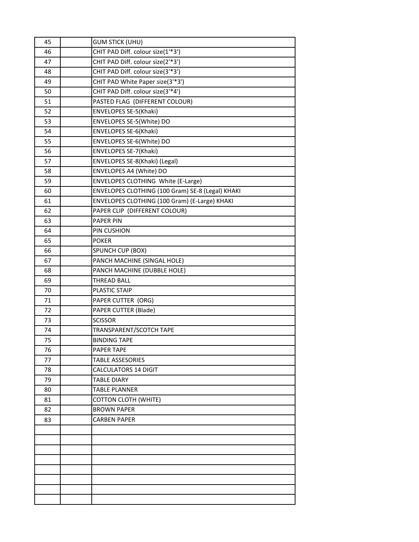| 45 | <b>GUM STICK (UHU)</b>                           |
|----|--------------------------------------------------|
| 46 | CHIT PAD Diff. colour size(1'*3')                |
| 47 | CHIT PAD Diff. colour size(2'*3')                |
| 48 | CHIT PAD Diff. colour size(3'*3')                |
| 49 | CHIT PAD White Paper size(3'*3')                 |
| 50 | CHIT PAD Diff. colour size(3'*4')                |
| 51 | PASTED FLAG (DIFFERENT COLOUR)                   |
| 52 | ENVELOPES SE-5(Khaki)                            |
| 53 | ENVELOPES SE-5(White) DO                         |
| 54 | ENVELOPES SE-6(Khaki)                            |
| 55 | ENVELOPES SE-6(White) DO                         |
| 56 | ENVELOPES SE-7(Khaki)                            |
| 57 | ENVELOPES SE-8(Khaki) (Legal)                    |
| 58 | ENVELOPES A4 (White) DO                          |
| 59 | <b>ENVELOPES CLOTHING White (E-Large)</b>        |
| 60 | ENVELOPES CLOTHING (100 Gram) SE-8 (Legal) KHAKI |
| 61 | ENVELOPES CLOTHING (100 Gram) (E-Large) KHAKI    |
| 62 | PAPER CLIP (DIFFERENT COLOUR)                    |
| 63 | <b>PAPER PIN</b>                                 |
| 64 | PIN CUSHION                                      |
| 65 | <b>POKER</b>                                     |
| 66 | SPUNCH CUP (BOX)                                 |
| 67 | PANCH MACHINE (SINGAL HOLE)                      |
| 68 | PANCH MACHINE (DUBBLE HOLE)                      |
| 69 | <b>THREAD BALL</b>                               |
| 70 | PLASTIC STAIP                                    |
| 71 | PAPER CUTTER (ORG)                               |
| 72 | PAPER CUTTER (Blade)                             |
| 73 | <b>SCISSOR</b>                                   |
| 74 | TRANSPARENT/SCOTCH TAPE                          |
| 75 | <b>BINDING TAPE</b>                              |
| 76 | PAPER TAPE                                       |
| 77 | <b>TABLE ASSESORIES</b>                          |
| 78 | <b>CALCULATORS 14 DIGIT</b>                      |
| 79 | <b>TABLE DIARY</b>                               |
| 80 | <b>TABLE PLANNER</b>                             |
| 81 | <b>COTTON CLOTH (WHITE)</b>                      |
| 82 | <b>BROWN PAPER</b>                               |
| 83 | <b>CARBEN PAPER</b>                              |
|    |                                                  |
|    |                                                  |
|    |                                                  |
|    |                                                  |
|    |                                                  |
|    |                                                  |
|    |                                                  |
|    |                                                  |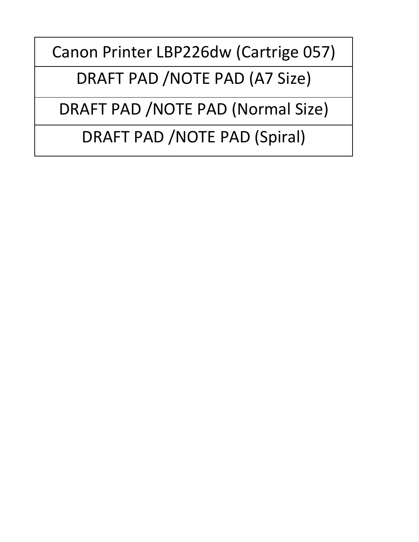Canon Printer LBP226dw (Cartrige 057)

DRAFT PAD /NOTE PAD (A7 Size)

DRAFT PAD /NOTE PAD (Normal Size)

DRAFT PAD /NOTE PAD (Spiral)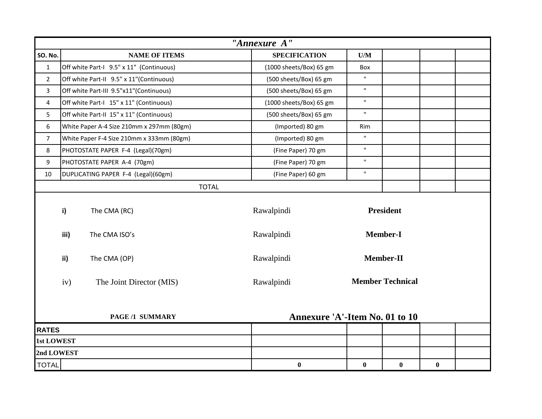|                   |                                                          |                                           |  | "Annexure A"            |                         |                         |          |  |
|-------------------|----------------------------------------------------------|-------------------------------------------|--|-------------------------|-------------------------|-------------------------|----------|--|
| <b>SO. No.</b>    |                                                          | <b>NAME OF ITEMS</b>                      |  | <b>SPECIFICATION</b>    | $\mathbf{U}/\mathbf{M}$ |                         |          |  |
| $\mathbf{1}$      |                                                          | Off white Part-I 9.5" x 11" (Continuous)  |  | (1000 sheets/Box) 65 gm | Box                     |                         |          |  |
| $\overline{2}$    |                                                          | Off white Part-II 9.5" x 11"(Continuous)  |  | (500 sheets/Box) 65 gm  | $\mathbf{H}$            |                         |          |  |
| 3                 |                                                          | Off white Part-III 9.5"x11"(Continuous)   |  | (500 sheets/Box) 65 gm  | $\mathbf{H}$            |                         |          |  |
| 4                 |                                                          | Off white Part-I 15" x 11" (Continuous)   |  | (1000 sheets/Box) 65 gm | $\mathbf{H}$            |                         |          |  |
| 5                 |                                                          | Off white Part-II 15" x 11" (Continuous)  |  | (500 sheets/Box) 65 gm  | $\mathbf{H}$            |                         |          |  |
| 6                 |                                                          | White Paper A-4 Size 210mm x 297mm (80gm) |  | (Imported) 80 gm        | Rim                     |                         |          |  |
| $\overline{7}$    |                                                          | White Paper F-4 Size 210mm x 333mm (80gm) |  | (Imported) 80 gm        | $\mathbf{H}$            |                         |          |  |
| 8                 |                                                          | PHOTOSTATE PAPER F-4 (Legal)(70gm)        |  | (Fine Paper) 70 gm      | $\mathbf{H}$            |                         |          |  |
| 9                 |                                                          | PHOTOSTATE PAPER A-4 (70gm)               |  | (Fine Paper) 70 gm      | $\mathbf{H}$            |                         |          |  |
| 10                |                                                          | DUPLICATING PAPER F-4 (Legal)(60gm)       |  | (Fine Paper) 60 gm      | $\mathbf{H}$            |                         |          |  |
|                   |                                                          | <b>TOTAL</b>                              |  |                         |                         |                         |          |  |
|                   | i)                                                       | The CMA (RC)                              |  | Rawalpindi              |                         | <b>President</b>        |          |  |
|                   | iii)                                                     | The CMA ISO's                             |  | Rawalpindi              |                         | <b>Member-I</b>         |          |  |
|                   | ii)                                                      | The CMA (OP)                              |  | Rawalpindi              |                         | Member-II               |          |  |
|                   | iv)                                                      | The Joint Director (MIS)                  |  | Rawalpindi              |                         | <b>Member Technical</b> |          |  |
|                   | Annexure 'A'-Item No. 01 to 10<br><b>PAGE /1 SUMMARY</b> |                                           |  |                         |                         |                         |          |  |
| <b>RATES</b>      |                                                          |                                           |  |                         |                         |                         |          |  |
| <b>1st LOWEST</b> |                                                          |                                           |  |                         |                         |                         |          |  |
| 2nd LOWEST        |                                                          |                                           |  |                         |                         |                         |          |  |
| <b>TOTAL</b>      |                                                          |                                           |  | $\bf{0}$                | $\bf{0}$                | $\bf{0}$                | $\bf{0}$ |  |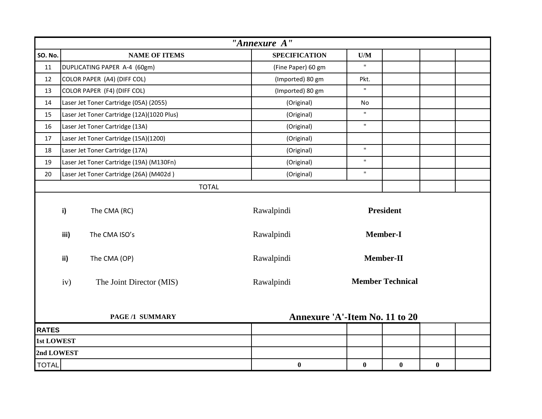|                | "Annexure A"                                                    |                                            |  |                      |                         |                         |          |  |
|----------------|-----------------------------------------------------------------|--------------------------------------------|--|----------------------|-------------------------|-------------------------|----------|--|
| <b>SO. No.</b> |                                                                 | <b>NAME OF ITEMS</b>                       |  | <b>SPECIFICATION</b> | $\mathbf{U}/\mathbf{M}$ |                         |          |  |
| 11             |                                                                 | DUPLICATING PAPER A-4 (60gm)               |  | (Fine Paper) 60 gm   | $\mathbf{H}$            |                         |          |  |
| 12             |                                                                 | COLOR PAPER (A4) (DIFF COL)                |  | (Imported) 80 gm     | Pkt.                    |                         |          |  |
| 13             |                                                                 | COLOR PAPER (F4) (DIFF COL)                |  | (Imported) 80 gm     | $\mathbf{H}$            |                         |          |  |
| 14             |                                                                 | Laser Jet Toner Cartridge (05A) (2055)     |  | (Original)           | <b>No</b>               |                         |          |  |
| 15             |                                                                 | Laser Jet Toner Cartridge (12A)(1020 Plus) |  | (Original)           | $\mathbf{H}$            |                         |          |  |
| 16             |                                                                 | Laser Jet Toner Cartridge (13A)            |  | (Original)           | $\mathbf{H}$            |                         |          |  |
| 17             |                                                                 | Laser Jet Toner Cartridge (15A)(1200)      |  | (Original)           |                         |                         |          |  |
| 18             |                                                                 | Laser Jet Toner Cartridge (17A)            |  | (Original)           | $\mathbf{H}$            |                         |          |  |
| 19             |                                                                 | Laser Jet Toner Cartridge (19A) (M130Fn)   |  | (Original)           | $\mathbf{H}$            |                         |          |  |
| 20             |                                                                 | Laser Jet Toner Cartridge (26A) (M402d)    |  | (Original)           | $\mathbf{H}$            |                         |          |  |
|                |                                                                 | <b>TOTAL</b>                               |  |                      |                         |                         |          |  |
|                | i)                                                              | The CMA (RC)                               |  | Rawalpindi           |                         | <b>President</b>        |          |  |
|                | iii)                                                            | The CMA ISO's                              |  | Rawalpindi           |                         | <b>Member-I</b>         |          |  |
|                | ii)                                                             | The CMA (OP)                               |  | Rawalpindi           |                         | Member-II               |          |  |
|                | iv)                                                             | The Joint Director (MIS)                   |  | Rawalpindi           |                         | <b>Member Technical</b> |          |  |
|                | <b>Annexure 'A'-Item No. 11 to 20</b><br><b>PAGE /1 SUMMARY</b> |                                            |  |                      |                         |                         |          |  |
| <b>RATES</b>   |                                                                 |                                            |  |                      |                         |                         |          |  |
| 1st LOWEST     |                                                                 |                                            |  |                      |                         |                         |          |  |
| 2nd LOWEST     |                                                                 |                                            |  |                      |                         |                         |          |  |
| <b>TOTAL</b>   |                                                                 |                                            |  | $\bf{0}$             | $\bf{0}$                | $\bf{0}$                | $\bf{0}$ |  |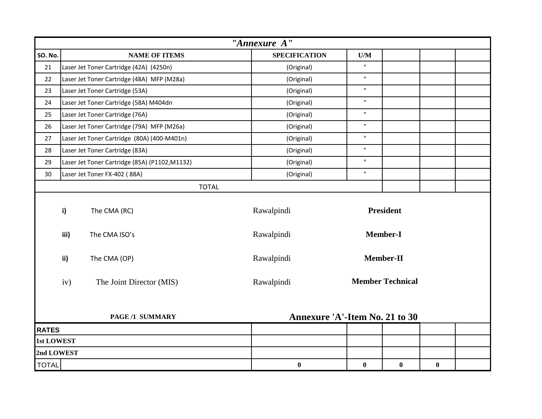|                   | "Annexure A"                                             |                                                |                      |  |              |                         |          |  |
|-------------------|----------------------------------------------------------|------------------------------------------------|----------------------|--|--------------|-------------------------|----------|--|
| <b>SO. No.</b>    |                                                          | <b>NAME OF ITEMS</b>                           | <b>SPECIFICATION</b> |  | U/M          |                         |          |  |
| 21                |                                                          | Laser Jet Toner Cartridge (42A) (4250n)        | (Original)           |  | $\mathbf{H}$ |                         |          |  |
| 22                |                                                          | Laser Jet Toner Cartridge (48A) MFP (M28a)     | (Original)           |  | $\mathbf H$  |                         |          |  |
| 23                |                                                          | Laser Jet Toner Cartridge (53A)                | (Original)           |  | $\mathbf{H}$ |                         |          |  |
| 24                |                                                          | Laser Jet Toner Cartridge (58A) M404dn         | (Original)           |  | $\mathbf{H}$ |                         |          |  |
| 25                |                                                          | Laser Jet Toner Cartridge (76A)                | (Original)           |  | $\mathbf{H}$ |                         |          |  |
| 26                |                                                          | Laser Jet Toner Cartridge (79A) MFP (M26a)     | (Original)           |  | $\mathbf H$  |                         |          |  |
| 27                |                                                          | Laser Jet Toner Cartridge (80A) (400-M401n)    | (Original)           |  | $\mathbf{H}$ |                         |          |  |
| 28                |                                                          | Laser Jet Toner Cartridge (83A)                | (Original)           |  | $\mathbf{H}$ |                         |          |  |
| 29                |                                                          | Laser Jet Toner Cartridge (85A) (P1102, M1132) | (Original)           |  | $\mathbf H$  |                         |          |  |
| 30                |                                                          | Laser Jet Toner FX-402 (88A)                   | (Original)           |  | $\mathbf{H}$ |                         |          |  |
|                   |                                                          | <b>TOTAL</b>                                   |                      |  |              |                         |          |  |
|                   | $\mathbf{i}$                                             | The CMA (RC)                                   | Rawalpindi           |  |              | <b>President</b>        |          |  |
|                   | iii)                                                     | The CMA ISO's                                  | Rawalpindi           |  |              | <b>Member-I</b>         |          |  |
|                   | ii)                                                      | The CMA (OP)                                   | Rawalpindi           |  |              | Member-II               |          |  |
|                   | iv)                                                      | The Joint Director (MIS)                       | Rawalpindi           |  |              | <b>Member Technical</b> |          |  |
|                   | Annexure 'A'-Item No. 21 to 30<br><b>PAGE /1 SUMMARY</b> |                                                |                      |  |              |                         |          |  |
| <b>RATES</b>      |                                                          |                                                |                      |  |              |                         |          |  |
| <b>1st LOWEST</b> |                                                          |                                                |                      |  |              |                         |          |  |
| 2nd LOWEST        |                                                          |                                                |                      |  |              |                         |          |  |
| <b>TOTAL</b>      |                                                          |                                                | $\bf{0}$             |  | $\bf{0}$     | $\bf{0}$                | $\bf{0}$ |  |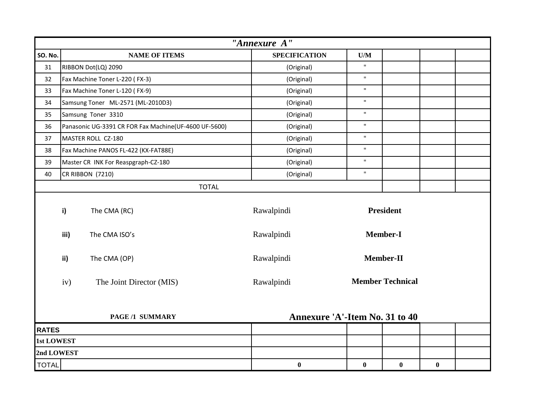|                   | "Annexure A"                                             |                                                       |                      |                         |                         |          |  |
|-------------------|----------------------------------------------------------|-------------------------------------------------------|----------------------|-------------------------|-------------------------|----------|--|
| <b>SO. No.</b>    |                                                          | <b>NAME OF ITEMS</b>                                  | <b>SPECIFICATION</b> | $\mathbf{U}/\mathbf{M}$ |                         |          |  |
| 31                |                                                          | RIBBON Dot(LQ) 2090                                   | (Original)           | $\mathbf{u}$            |                         |          |  |
| 32                |                                                          | Fax Machine Toner L-220 (FX-3)                        | (Original)           | $\mathbf{u}$            |                         |          |  |
| 33                |                                                          | Fax Machine Toner L-120 (FX-9)                        | (Original)           | $\mathbf{u}$            |                         |          |  |
| 34                |                                                          | Samsung Toner ML-2571 (ML-2010D3)                     | (Original)           | $\mathbf{H}$            |                         |          |  |
| 35                |                                                          | Samsung Toner 3310                                    | (Original)           | $\mathbf{u}$            |                         |          |  |
| 36                |                                                          | Panasonic UG-3391 CR FOR Fax Machine(UF-4600 UF-5600) | (Original)           | $\mathbf{H}$            |                         |          |  |
| 37                |                                                          | MASTER ROLL CZ-180                                    | (Original)           | $\mathbf{u}$            |                         |          |  |
| 38                |                                                          | Fax Machine PANOS FL-422 (KX-FAT88E)                  | (Original)           | $\mathbf{u}$            |                         |          |  |
| 39                |                                                          | Master CR INK For Reaspgraph-CZ-180                   | (Original)           | $\mathbf{H}$            |                         |          |  |
| 40                |                                                          | <b>CR RIBBON (7210)</b>                               | (Original)           | $\mathbf{u}$            |                         |          |  |
|                   |                                                          | <b>TOTAL</b>                                          |                      |                         |                         |          |  |
|                   | i)                                                       | The CMA (RC)                                          | Rawalpindi           |                         | <b>President</b>        |          |  |
|                   | iii)                                                     | The CMA ISO's                                         | Rawalpindi           |                         | <b>Member-I</b>         |          |  |
|                   | ii)                                                      | The CMA (OP)                                          | Rawalpindi           |                         | Member-II               |          |  |
|                   | iv)                                                      | The Joint Director (MIS)                              | Rawalpindi           |                         | <b>Member Technical</b> |          |  |
|                   | Annexure 'A'-Item No. 31 to 40<br><b>PAGE /1 SUMMARY</b> |                                                       |                      |                         |                         |          |  |
| <b>RATES</b>      |                                                          |                                                       |                      |                         |                         |          |  |
| <b>1st LOWEST</b> |                                                          |                                                       |                      |                         |                         |          |  |
| 2nd LOWEST        |                                                          |                                                       |                      |                         |                         |          |  |
| <b>TOTAL</b>      |                                                          |                                                       | $\boldsymbol{0}$     | $\bf{0}$                | $\bf{0}$                | $\bf{0}$ |  |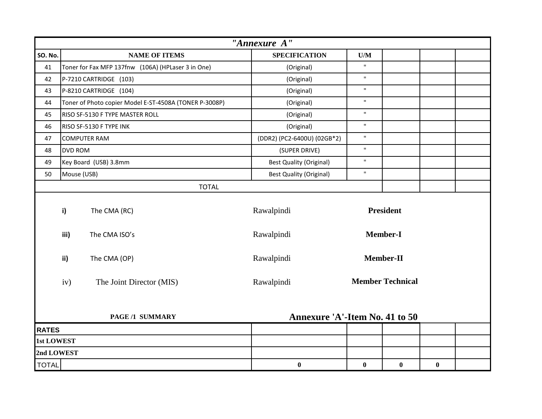|                | "Annexure A"                                                    |                                                        |                                |                         |                         |          |  |
|----------------|-----------------------------------------------------------------|--------------------------------------------------------|--------------------------------|-------------------------|-------------------------|----------|--|
| <b>SO. No.</b> |                                                                 | <b>NAME OF ITEMS</b>                                   | <b>SPECIFICATION</b>           | $\mathbf{U}/\mathbf{M}$ |                         |          |  |
| 41             |                                                                 | Toner for Fax MFP 137fnw (106A) (HPLaser 3 in One)     | (Original)                     | $\mathbf{H}$            |                         |          |  |
| 42             |                                                                 | P-7210 CARTRIDGE (103)                                 | (Original)                     | $\mathbf{H}$            |                         |          |  |
| 43             |                                                                 | P-8210 CARTRIDGE (104)                                 | (Original)                     | $\mathbf{H}$            |                         |          |  |
| 44             |                                                                 | Toner of Photo copier Model E-ST-4508A (TONER P-3008P) | (Original)                     | $\mathbf{H}$            |                         |          |  |
| 45             |                                                                 | RISO SF-5130 F TYPE MASTER ROLL                        | (Original)                     | $\mathbf{H}$            |                         |          |  |
| 46             |                                                                 | RISO SF-5130 F TYPE INK                                | (Original)                     | $\mathbf{H}$            |                         |          |  |
| 47             |                                                                 | <b>COMPUTER RAM</b>                                    | (DDR2) (PC2-6400U) (02GB*2)    | $\mathbf{H}$            |                         |          |  |
| 48             | <b>DVD ROM</b>                                                  |                                                        | (SUPER DRIVE)                  | $\mathbf{H}$            |                         |          |  |
| 49             |                                                                 | Key Board (USB) 3.8mm                                  | <b>Best Quality (Original)</b> | $\mathbf{H}$            |                         |          |  |
| 50             | Mouse (USB)                                                     |                                                        | <b>Best Quality (Original)</b> | $\mathbf{H}$            |                         |          |  |
|                |                                                                 | <b>TOTAL</b>                                           |                                |                         |                         |          |  |
|                | i)                                                              | The CMA (RC)                                           | Rawalpindi                     |                         | <b>President</b>        |          |  |
|                | iii)                                                            | The CMA ISO's                                          | Rawalpindi                     |                         | <b>Member-I</b>         |          |  |
|                | ii)                                                             | The CMA (OP)                                           | Rawalpindi                     |                         | Member-II               |          |  |
|                | iv)                                                             | The Joint Director (MIS)                               | Rawalpindi                     |                         | <b>Member Technical</b> |          |  |
|                | <b>Annexure 'A'-Item No. 41 to 50</b><br><b>PAGE /1 SUMMARY</b> |                                                        |                                |                         |                         |          |  |
| <b>RATES</b>   |                                                                 |                                                        |                                |                         |                         |          |  |
| 1st LOWEST     |                                                                 |                                                        |                                |                         |                         |          |  |
| 2nd LOWEST     |                                                                 |                                                        |                                |                         |                         |          |  |
| <b>TOTAL</b>   |                                                                 |                                                        | $\bf{0}$                       | $\bf{0}$                | $\bf{0}$                | $\bf{0}$ |  |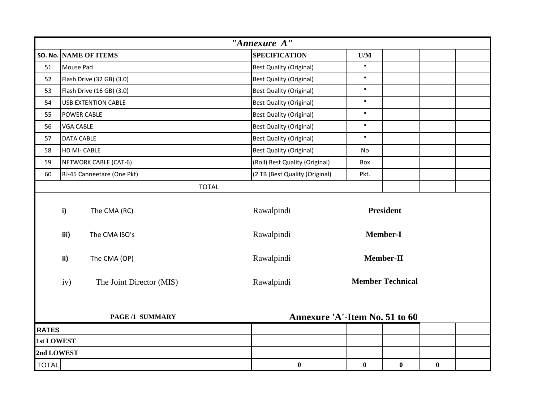|                | "Annexure A"                                             |                            |              |                                 |                         |                         |          |  |
|----------------|----------------------------------------------------------|----------------------------|--------------|---------------------------------|-------------------------|-------------------------|----------|--|
| <b>SO. No.</b> |                                                          | <b>NAME OF ITEMS</b>       |              | <b>SPECIFICATION</b>            | $\mathbf{U}/\mathbf{M}$ |                         |          |  |
| 51             | Mouse Pad                                                |                            |              | <b>Best Quality (Original)</b>  | $\mathbf{u}$            |                         |          |  |
| 52             |                                                          | Flash Drive (32 GB) (3.0)  |              | <b>Best Quality (Original)</b>  | $\mathbf{H}$            |                         |          |  |
| 53             |                                                          | Flash Drive (16 GB) (3.0)  |              | <b>Best Quality (Original)</b>  | $\mathbf{H}$            |                         |          |  |
| 54             |                                                          | <b>USB EXTENTION CABLE</b> |              | <b>Best Quality (Original)</b>  | $\mathbf{u}$            |                         |          |  |
| 55             |                                                          | <b>POWER CABLE</b>         |              | <b>Best Quality (Original)</b>  | $\mathbf{H}$            |                         |          |  |
| 56             | <b>VGA CABLE</b>                                         |                            |              | <b>Best Quality (Original)</b>  | $\mathbf{H}$            |                         |          |  |
| 57             |                                                          | <b>DATA CABLE</b>          |              | <b>Best Quality (Original)</b>  | $\mathbf{H}$            |                         |          |  |
| 58             |                                                          | HD MI- CABLE               |              | <b>Best Quality (Original)</b>  | No                      |                         |          |  |
| 59             |                                                          | NETWORK CABLE (CAT-6)      |              | (Roll) Best Quality (Original)  | Box                     |                         |          |  |
| 60             |                                                          | RJ-45 Canneetare (One Pkt) |              | (2 TB ) Best Quality (Original) | Pkt.                    |                         |          |  |
|                |                                                          |                            | <b>TOTAL</b> |                                 |                         |                         |          |  |
|                | i)                                                       | The CMA (RC)               |              | Rawalpindi                      |                         | <b>President</b>        |          |  |
|                | iii)                                                     | The CMA ISO's              |              | Rawalpindi                      |                         | <b>Member-I</b>         |          |  |
|                | ii)                                                      | The CMA (OP)               |              | Rawalpindi                      |                         | Member-II               |          |  |
|                | iv)                                                      | The Joint Director (MIS)   |              | Rawalpindi                      |                         | <b>Member Technical</b> |          |  |
|                | Annexure 'A'-Item No. 51 to 60<br><b>PAGE /1 SUMMARY</b> |                            |              |                                 |                         |                         |          |  |
| <b>RATES</b>   |                                                          |                            |              |                                 |                         |                         |          |  |
| 1st LOWEST     |                                                          |                            |              |                                 |                         |                         |          |  |
| 2nd LOWEST     |                                                          |                            |              |                                 |                         |                         |          |  |
| <b>TOTAL</b>   |                                                          |                            |              | $\boldsymbol{0}$                | $\bf{0}$                | $\bf{0}$                | $\bf{0}$ |  |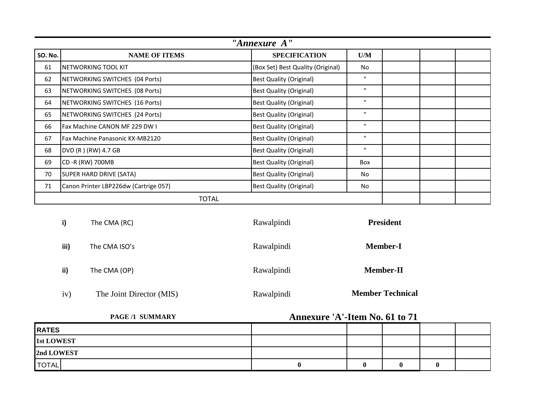|                | "Annexure A"                          |                                   |              |  |  |  |
|----------------|---------------------------------------|-----------------------------------|--------------|--|--|--|
| <b>SO. No.</b> | <b>NAME OF ITEMS</b>                  | <b>SPECIFICATION</b>              | U/M          |  |  |  |
| 61             | NETWORKING TOOL KIT                   | (Box Set) Best Quality (Original) | <b>No</b>    |  |  |  |
| 62             | NETWORKING SWITCHES (04 Ports)        | <b>Best Quality (Original)</b>    | $\mathbf{H}$ |  |  |  |
| 63             | NETWORKING SWITCHES (08 Ports)        | <b>Best Quality (Original)</b>    | $\mathbf{H}$ |  |  |  |
| 64             | NETWORKING SWITCHES (16 Ports)        | <b>Best Quality (Original)</b>    | $\mathbf{H}$ |  |  |  |
| 65             | NETWORKING SWITCHES (24 Ports)        | <b>Best Quality (Original)</b>    | $\mathbf{H}$ |  |  |  |
| 66             | Fax Machine CANON MF 229 DW I         | <b>Best Quality (Original)</b>    | $\mathbf{H}$ |  |  |  |
| 67             | Fax Machine Panasonic KX-MB2120       | <b>Best Quality (Original)</b>    | $\mathbf{H}$ |  |  |  |
| 68             | DVD (R) (RW) 4.7 GB                   | <b>Best Quality (Original)</b>    | $\mathbf{H}$ |  |  |  |
| 69             | CD -R (RW) 700MB                      | <b>Best Quality (Original)</b>    | Box          |  |  |  |
| 70             | SUPER HARD DRIVE (SATA)               | <b>Best Quality (Original)</b>    | No.          |  |  |  |
| 71             | Canon Printer LBP226dw (Cartrige 057) | <b>Best Quality (Original)</b>    | <b>No</b>    |  |  |  |
|                | <b>TOTAL</b>                          |                                   |              |  |  |  |

| i)   | The CMA (RC)             | Rawalpindi | <b>President</b>        |
|------|--------------------------|------------|-------------------------|
| iii) | The CMA ISO's            | Rawalpindi | <b>Member-I</b>         |
| ii)  | The CMA (OP)             | Rawalpindi | <b>Member-II</b>        |
| iv)  | The Joint Director (MIS) | Rawalpindi | <b>Member Technical</b> |

| <b>PAGE/1 SUMMARY</b> | Annexure 'A'-Item No. 61 to 71 |  |  |   |  |
|-----------------------|--------------------------------|--|--|---|--|
| <b>RATES</b>          |                                |  |  |   |  |
| <b>1st LOWEST</b>     |                                |  |  |   |  |
| 2nd LOWEST            |                                |  |  |   |  |
| <b>TOTAL</b>          |                                |  |  | A |  |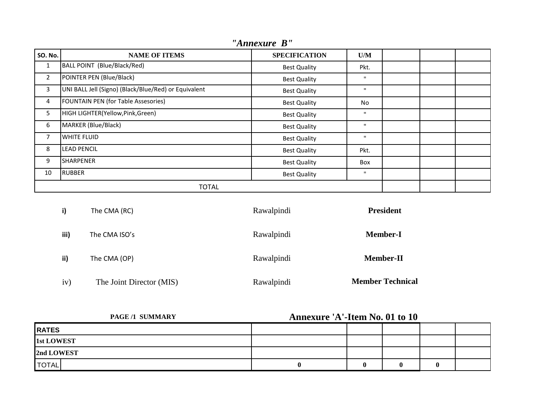| <b>SO. No.</b> | <b>NAME OF ITEMS</b>                                 | <b>SPECIFICATION</b> | U/M          |  |  |
|----------------|------------------------------------------------------|----------------------|--------------|--|--|
| 1              | BALL POINT (Blue/Black/Red)                          | <b>Best Quality</b>  | Pkt.         |  |  |
| $\overline{2}$ | POINTER PEN (Blue/Black)                             | <b>Best Quality</b>  | $\mathbf{H}$ |  |  |
| 3              | UNI BALL Jell (Signo) (Black/Blue/Red) or Equivalent | <b>Best Quality</b>  | $\mathbf{H}$ |  |  |
| 4              | FOUNTAIN PEN (for Table Assesories)                  | <b>Best Quality</b>  | No.          |  |  |
| 5              | HIGH LIGHTER(Yellow, Pink, Green)                    | <b>Best Quality</b>  | $\mathbf{H}$ |  |  |
| 6              | MARKER (Blue/Black)                                  | <b>Best Quality</b>  | $\mathbf{H}$ |  |  |
| 7              | <b>WHITE FLUID</b>                                   | <b>Best Quality</b>  | $\mathbf{H}$ |  |  |
| 8              | <b>LEAD PENCIL</b>                                   | <b>Best Quality</b>  | Pkt.         |  |  |
| 9              | <b>SHARPENER</b>                                     | <b>Best Quality</b>  | Box          |  |  |
| 10             | <b>RUBBER</b>                                        | <b>Best Quality</b>  | $\mathbf{H}$ |  |  |
|                | <b>TOTAL</b>                                         |                      |              |  |  |

*"Annexure B"*

| i)   | The CMA (RC)             | Rawalpindi | <b>President</b>        |
|------|--------------------------|------------|-------------------------|
| iii) | The CMA ISO's            | Rawalpindi | <b>Member-I</b>         |
| ii)  | The CMA (OP)             | Rawalpindi | <b>Member-II</b>        |
| iv)  | The Joint Director (MIS) | Rawalpindi | <b>Member Technical</b> |

| PAGE/1 SUMMARY    | Annexure 'A'-Item No. 01 to 10 |   |  |   |  |
|-------------------|--------------------------------|---|--|---|--|
| <b>RATES</b>      |                                |   |  |   |  |
| <b>1st LOWEST</b> |                                |   |  |   |  |
| 2nd LOWEST        |                                |   |  |   |  |
| <b>TOTAL</b>      |                                | 0 |  | 0 |  |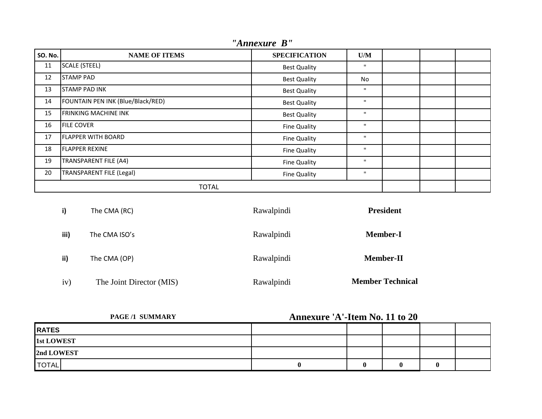| <b>SO. No.</b> | <b>NAME OF ITEMS</b>              | <b>SPECIFICATION</b> | U/M          |  |  |
|----------------|-----------------------------------|----------------------|--------------|--|--|
| 11             | SCALE (STEEL)                     | <b>Best Quality</b>  | $\mathbf{H}$ |  |  |
| 12             | <b>STAMP PAD</b>                  | <b>Best Quality</b>  | No           |  |  |
| 13             | <b>STAMP PAD INK</b>              | <b>Best Quality</b>  | $\mathbf{H}$ |  |  |
| 14             | FOUNTAIN PEN INK (Blue/Black/RED) | <b>Best Quality</b>  | $\mathbf{H}$ |  |  |
| 15             | <b>FRINKING MACHINE INK</b>       | <b>Best Quality</b>  | $\mathbf{H}$ |  |  |
| 16             | <b>FILE COVER</b>                 | Fine Quality         | $\mathbf{H}$ |  |  |
| 17             | <b>FLAPPER WITH BOARD</b>         | Fine Quality         | $\mathbf{H}$ |  |  |
| 18             | <b>FLAPPER REXINE</b>             | <b>Fine Quality</b>  | $\mathbf{H}$ |  |  |
| 19             | <b>TRANSPARENT FILE (A4)</b>      | Fine Quality         | $\mathbf{H}$ |  |  |
| 20             | <b>TRANSPARENT FILE (Legal)</b>   | Fine Quality         | $\mathbf{H}$ |  |  |
| <b>TOTAL</b>   |                                   |                      |              |  |  |

*"Annexure B"*

| i)   | The CMA (RC)             | Rawalpindi | <b>President</b>        |
|------|--------------------------|------------|-------------------------|
| iii) | The CMA ISO's            | Rawalpindi | <b>Member-I</b>         |
| ii)  | The CMA (OP)             | Rawalpindi | <b>Member-II</b>        |
| iv)  | The Joint Director (MIS) | Rawalpindi | <b>Member Technical</b> |

| PAGE/1 SUMMARY | Annexure 'A'-Item No. 11 to 20 |   |  |   |  |
|----------------|--------------------------------|---|--|---|--|
| <b>RATES</b>   |                                |   |  |   |  |
| 1st LOWEST     |                                |   |  |   |  |
| 2nd LOWEST     |                                |   |  |   |  |
| <b>TOTAL</b>   |                                | 0 |  | v |  |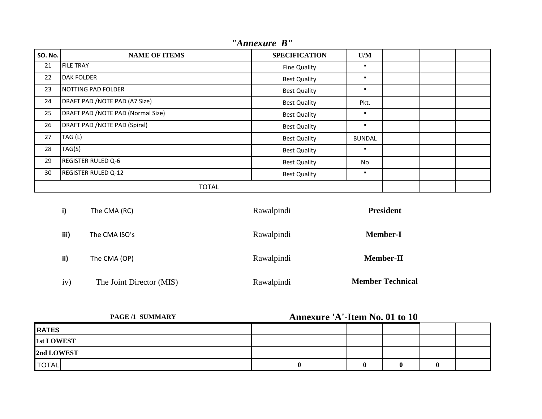| <b>SO. No.</b> | <b>NAME OF ITEMS</b>               | <b>SPECIFICATION</b> | U/M           |  |  |
|----------------|------------------------------------|----------------------|---------------|--|--|
| 21             | <b>FILE TRAY</b>                   | Fine Quality         | $\mathbf{H}$  |  |  |
| 22             | <b>DAK FOLDER</b>                  | <b>Best Quality</b>  | $\mathbf{H}$  |  |  |
| 23             | <b>NOTTING PAD FOLDER</b>          | <b>Best Quality</b>  | $\mathbf{H}$  |  |  |
| 24             | DRAFT PAD / NOTE PAD (A7 Size)     | <b>Best Quality</b>  | Pkt.          |  |  |
| 25             | DRAFT PAD / NOTE PAD (Normal Size) | <b>Best Quality</b>  | $\mathbf{H}$  |  |  |
| 26             | DRAFT PAD / NOTE PAD (Spiral)      | <b>Best Quality</b>  | $\mathbf{H}$  |  |  |
| 27             | TAG (L)                            | <b>Best Quality</b>  | <b>BUNDAL</b> |  |  |
| 28             | TAG(S)                             | <b>Best Quality</b>  | $\mathbf{H}$  |  |  |
| 29             | <b>REGISTER RULED Q-6</b>          | <b>Best Quality</b>  | No            |  |  |
| 30             | <b>REGISTER RULED Q-12</b>         | <b>Best Quality</b>  | $\mathbf{H}$  |  |  |
|                | <b>TOTAL</b>                       |                      |               |  |  |

*"Annexure B"*

| i)   | The CMA (RC)             | Rawalpindi | <b>President</b>        |
|------|--------------------------|------------|-------------------------|
| iii) | The CMA ISO's            | Rawalpindi | <b>Member-I</b>         |
| ii)  | The CMA (OP)             | Rawalpindi | <b>Member-II</b>        |
| iv)  | The Joint Director (MIS) | Rawalpindi | <b>Member Technical</b> |

| PAGE/1 SUMMARY | <b>Annexure 'A'-Item No. 01 to 10</b> |  |   |   |  |
|----------------|---------------------------------------|--|---|---|--|
| <b>RATES</b>   |                                       |  |   |   |  |
| 1st LOWEST     |                                       |  |   |   |  |
| 2nd LOWEST     |                                       |  |   |   |  |
| <b>TOTAL</b>   |                                       |  | 0 | Ð |  |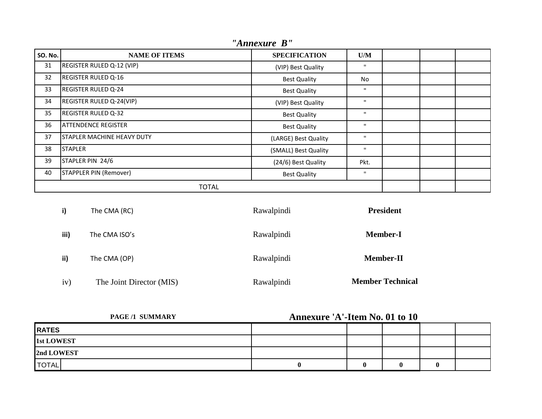| <b>SO. No.</b> | <b>NAME OF ITEMS</b>              | <b>SPECIFICATION</b> | U/M          |  |  |
|----------------|-----------------------------------|----------------------|--------------|--|--|
| 31             | REGISTER RULED Q-12 (VIP)         | (VIP) Best Quality   | п.           |  |  |
| 32             | <b>REGISTER RULED Q-16</b>        | <b>Best Quality</b>  | No           |  |  |
| 33             | <b>REGISTER RULED Q-24</b>        | <b>Best Quality</b>  | $\mathbf{H}$ |  |  |
| 34             | REGISTER RULED Q-24(VIP)          | (VIP) Best Quality   | $\mathbf{H}$ |  |  |
| 35             | <b>REGISTER RULED Q-32</b>        | <b>Best Quality</b>  | $\mathbf{H}$ |  |  |
| 36             | <b>ATTENDENCE REGISTER</b>        | <b>Best Quality</b>  | $\mathbf{H}$ |  |  |
| 37             | <b>STAPLER MACHINE HEAVY DUTY</b> | (LARGE) Best Quality | $\mathbf{H}$ |  |  |
| 38             | <b>STAPLER</b>                    | (SMALL) Best Quality | $\mathbf{H}$ |  |  |
| 39             | STAPLER PIN 24/6                  | (24/6) Best Quality  | Pkt.         |  |  |
| 40             | <b>STAPPLER PIN (Remover)</b>     | <b>Best Quality</b>  | $\mathbf{H}$ |  |  |
|                | <b>TOTAL</b>                      |                      |              |  |  |

*"Annexure B"*

| i)   | The CMA (RC)             | Rawalpindi | <b>President</b>        |
|------|--------------------------|------------|-------------------------|
| iii) | The CMA ISO's            | Rawalpindi | <b>Member-I</b>         |
| ii)  | The CMA (OP)             | Rawalpindi | <b>Member-II</b>        |
| iv)  | The Joint Director (MIS) | Rawalpindi | <b>Member Technical</b> |

| PAGE/1 SUMMARY    | <b>Annexure 'A'-Item No. 01 to 10</b> |  |   |   |  |
|-------------------|---------------------------------------|--|---|---|--|
| <b>RATES</b>      |                                       |  |   |   |  |
| <b>1st LOWEST</b> |                                       |  |   |   |  |
| 2nd LOWEST        |                                       |  |   |   |  |
| <b>TOTAL</b>      |                                       |  | 0 | o |  |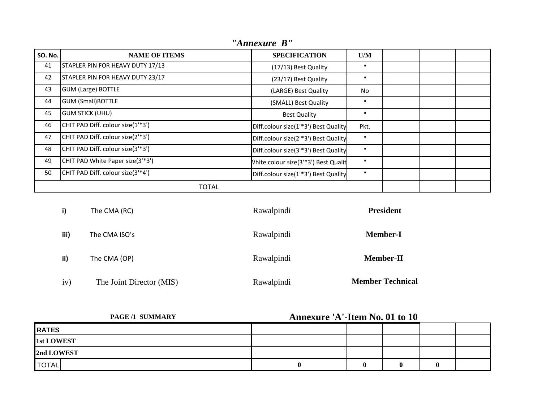| <b>SO. No.</b> | <b>NAME OF ITEMS</b>              | <b>SPECIFICATION</b>                 | U/M          |  |  |
|----------------|-----------------------------------|--------------------------------------|--------------|--|--|
| 41             | STAPLER PIN FOR HEAVY DUTY 17/13  | (17/13) Best Quality                 | $\mathbf{H}$ |  |  |
| 42             | STAPLER PIN FOR HEAVY DUTY 23/17  | (23/17) Best Quality                 | $\mathbf{H}$ |  |  |
| 43             | <b>GUM (Large) BOTTLE</b>         | (LARGE) Best Quality                 | <b>No</b>    |  |  |
| 44             | <b>GUM (Small)BOTTLE</b>          | (SMALL) Best Quality                 | $\mathbf{H}$ |  |  |
| 45             | <b>GUM STICK (UHU)</b>            | <b>Best Quality</b>                  | $\mathbf{H}$ |  |  |
| 46             | CHIT PAD Diff. colour size(1'*3') | Diff.colour size(1'*3') Best Quality | Pkt.         |  |  |
| 47             | CHIT PAD Diff. colour size(2'*3') | Diff.colour size(2'*3') Best Quality | $\mathbf{H}$ |  |  |
| 48             | CHIT PAD Diff. colour size(3'*3') | Diff.colour size(3'*3') Best Quality | $\mathbf{H}$ |  |  |
| 49             | CHIT PAD White Paper size(3'*3')  | White colour size(3'*3') Best Qualit | $\mathbf{H}$ |  |  |
| 50             | CHIT PAD Diff. colour size(3'*4') | Diff.colour size(1'*3') Best Quality | $\mathbf{H}$ |  |  |
|                | <b>TOTAL</b>                      |                                      |              |  |  |

| "Annexure B" |  |
|--------------|--|

| i)   | The CMA (RC)             | Rawalpindi | <b>President</b>        |
|------|--------------------------|------------|-------------------------|
| iii) | The CMA ISO's            | Rawalpindi | <b>Member-I</b>         |
| ii)  | The CMA (OP)             | Rawalpindi | <b>Member-II</b>        |
| iv)  | The Joint Director (MIS) | Rawalpindi | <b>Member Technical</b> |

| PAGE/1 SUMMARY | <b>Annexure 'A'-Item No. 01 to 10</b> |  |   |   |  |
|----------------|---------------------------------------|--|---|---|--|
| <b>RATES</b>   |                                       |  |   |   |  |
| 1st LOWEST     |                                       |  |   |   |  |
| 2nd LOWEST     |                                       |  |   |   |  |
| <b>TOTAL</b>   |                                       |  | 0 | o |  |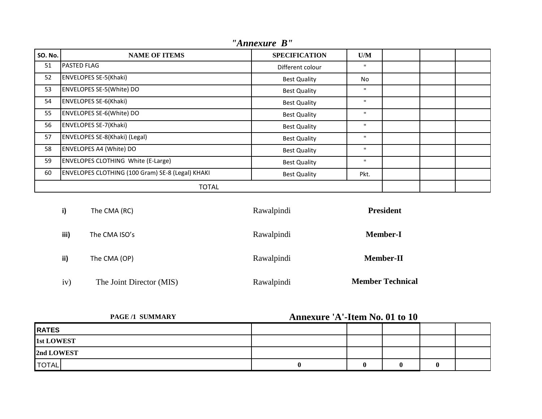| <b>SO. No.</b> | <b>NAME OF ITEMS</b>                             | <b>SPECIFICATION</b> | U/M          |  |  |
|----------------|--------------------------------------------------|----------------------|--------------|--|--|
| 51             | <b>PASTED FLAG</b>                               | Different colour     | $\mathbf{H}$ |  |  |
| 52             | <b>ENVELOPES SE-5(Khaki)</b>                     | <b>Best Quality</b>  | No           |  |  |
| 53             | ENVELOPES SE-5(White) DO                         | <b>Best Quality</b>  | $\mathbf{H}$ |  |  |
| 54             | <b>ENVELOPES SE-6(Khaki)</b>                     | <b>Best Quality</b>  | $\mathbf{H}$ |  |  |
| 55             | ENVELOPES SE-6(White) DO                         | <b>Best Quality</b>  | $\mathbf{H}$ |  |  |
| 56             | <b>ENVELOPES SE-7(Khaki)</b>                     | <b>Best Quality</b>  | $\mathbf{H}$ |  |  |
| 57             | ENVELOPES SE-8(Khaki) (Legal)                    | <b>Best Quality</b>  | $\mathbf{H}$ |  |  |
| 58             | ENVELOPES A4 (White) DO                          | <b>Best Quality</b>  | $\mathbf{H}$ |  |  |
| 59             | <b>ENVELOPES CLOTHING White (E-Large)</b>        | <b>Best Quality</b>  | $\mathbf{H}$ |  |  |
| 60             | ENVELOPES CLOTHING (100 Gram) SE-8 (Legal) KHAKI | <b>Best Quality</b>  | Pkt.         |  |  |
| <b>TOTAL</b>   |                                                  |                      |              |  |  |

*"Annexure B"*

| i)   | The CMA (RC)             | Rawalpindi | <b>President</b>        |
|------|--------------------------|------------|-------------------------|
| iii) | The CMA ISO's            | Rawalpindi | <b>Member-I</b>         |
| ii)  | The CMA (OP)             | Rawalpindi | <b>Member-II</b>        |
| iv)  | The Joint Director (MIS) | Rawalpindi | <b>Member Technical</b> |

| PAGE/1 SUMMARY | <b>Annexure 'A'-Item No. 01 to 10</b> |  |   |  |  |
|----------------|---------------------------------------|--|---|--|--|
| <b>RATES</b>   |                                       |  |   |  |  |
| 1st LOWEST     |                                       |  |   |  |  |
| 2nd LOWEST     |                                       |  |   |  |  |
| <b>TOTAL</b>   |                                       |  | 0 |  |  |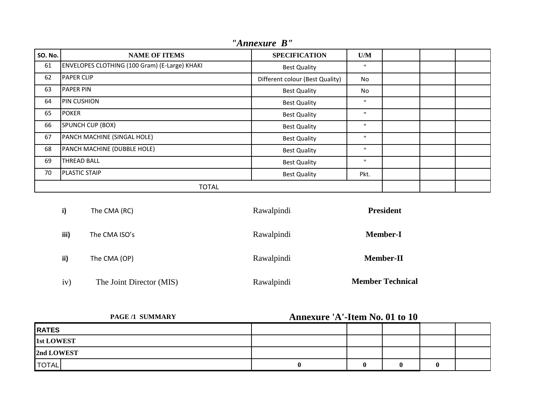| <b>SO. No.</b> | <b>NAME OF ITEMS</b>                          | <b>SPECIFICATION</b>            | U/M          |  |  |
|----------------|-----------------------------------------------|---------------------------------|--------------|--|--|
| 61             | ENVELOPES CLOTHING (100 Gram) (E-Large) KHAKI | <b>Best Quality</b>             | $\mathbf{H}$ |  |  |
| 62             | <b>PAPER CLIP</b>                             | Different colour (Best Quality) | No           |  |  |
| 63             | <b>PAPER PIN</b>                              | <b>Best Quality</b>             | No.          |  |  |
| 64             | <b>PIN CUSHION</b>                            | <b>Best Quality</b>             | $\mathbf{H}$ |  |  |
| 65             | <b>POKER</b>                                  | <b>Best Quality</b>             | $\mathbf{H}$ |  |  |
| 66             | SPUNCH CUP (BOX)                              | <b>Best Quality</b>             | $\mathbf{H}$ |  |  |
| 67             | PANCH MACHINE (SINGAL HOLE)                   | <b>Best Quality</b>             | $\mathbf{H}$ |  |  |
| 68             | PANCH MACHINE (DUBBLE HOLE)                   | <b>Best Quality</b>             | $\mathbf{H}$ |  |  |
| 69             | <b>THREAD BALL</b>                            | <b>Best Quality</b>             | $\mathbf{H}$ |  |  |
| 70             | <b>PLASTIC STAIP</b>                          | <b>Best Quality</b>             | Pkt.         |  |  |
|                | <b>TOTAL</b>                                  |                                 |              |  |  |

*"Annexure B"*

| i)   | The CMA (RC)             | Rawalpindi | <b>President</b>        |
|------|--------------------------|------------|-------------------------|
| iii) | The CMA ISO's            | Rawalpindi | <b>Member-I</b>         |
| ii)  | The CMA (OP)             | Rawalpindi | <b>Member-II</b>        |
| iv)  | The Joint Director (MIS) | Rawalpindi | <b>Member Technical</b> |

| <b>PAGE/1 SUMMARY</b> | Annexure 'A'-Item No. 01 to 10 |  |  |   |  |
|-----------------------|--------------------------------|--|--|---|--|
| <b>RATES</b>          |                                |  |  |   |  |
| 1st LOWEST            |                                |  |  |   |  |
| 2nd LOWEST            |                                |  |  |   |  |
| <b>TOTAL</b>          |                                |  |  | o |  |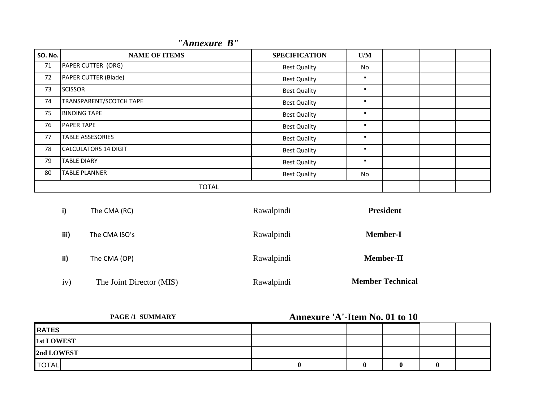| <b>SO. No.</b> | <b>NAME OF ITEMS</b>        | <b>SPECIFICATION</b> | U/M          |  |  |
|----------------|-----------------------------|----------------------|--------------|--|--|
| $71\,$         | PAPER CUTTER (ORG)          | <b>Best Quality</b>  | No           |  |  |
| 72             | PAPER CUTTER (Blade)        | <b>Best Quality</b>  | $\mathbf{H}$ |  |  |
| 73             | <b>SCISSOR</b>              | <b>Best Quality</b>  | $\mathbf{H}$ |  |  |
| 74             | TRANSPARENT/SCOTCH TAPE     | <b>Best Quality</b>  | $\mathbf{H}$ |  |  |
| 75             | <b>BINDING TAPE</b>         | <b>Best Quality</b>  | $\mathbf{H}$ |  |  |
| 76             | <b>PAPER TAPE</b>           | <b>Best Quality</b>  | $\mathbf{H}$ |  |  |
| 77             | <b>TABLE ASSESORIES</b>     | <b>Best Quality</b>  | $\mathbf{H}$ |  |  |
| 78             | <b>CALCULATORS 14 DIGIT</b> | <b>Best Quality</b>  | $\mathbf{H}$ |  |  |
| 79             | <b>TABLE DIARY</b>          | <b>Best Quality</b>  | $\mathbf{H}$ |  |  |
| 80             | <b>TABLE PLANNER</b>        | <b>Best Quality</b>  | No           |  |  |
| <b>TOTAL</b>   |                             |                      |              |  |  |

| i)   | The CMA (RC)             | Rawalpindi | <b>President</b>        |
|------|--------------------------|------------|-------------------------|
| iii) | The CMA ISO's            | Rawalpindi | <b>Member-I</b>         |
| ii)  | The CMA (OP)             | Rawalpindi | <b>Member-II</b>        |
| iv)  | The Joint Director (MIS) | Rawalpindi | <b>Member Technical</b> |

| <b>PAGE/1 SUMMARY</b> | Annexure 'A'-Item No. 01 to 10 |   |  |  |  |
|-----------------------|--------------------------------|---|--|--|--|
| <b>RATES</b>          |                                |   |  |  |  |
| 1st LOWEST            |                                |   |  |  |  |
| 2nd LOWEST            |                                |   |  |  |  |
| <b>TOTAL</b>          |                                | 0 |  |  |  |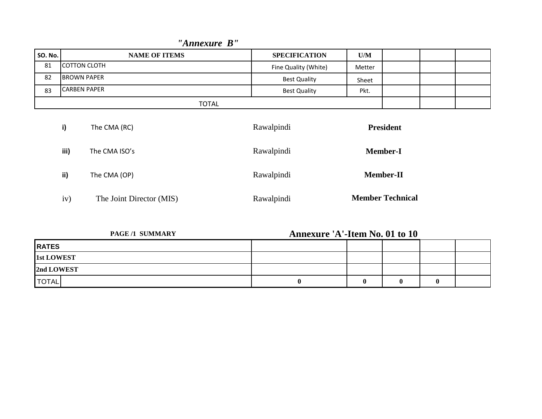| SO. No. | <b>NAME OF ITEMS</b> | <b>SPECIFICATION</b> | U/M    |                  |  |
|---------|----------------------|----------------------|--------|------------------|--|
| 81      | <b>COTTON CLOTH</b>  | Fine Quality (White) | Metter |                  |  |
| 82      | <b>BROWN PAPER</b>   | <b>Best Quality</b>  | Sheet  |                  |  |
| 83      | <b>CARBEN PAPER</b>  | <b>Best Quality</b>  | Pkt.   |                  |  |
|         | <b>TOTAL</b>         |                      |        |                  |  |
|         | i)<br>The CMA (RC)   | Rawalpindi           |        | <b>President</b> |  |

**Member-I**

**Member-II**

 **Member Technical**

# *"Annexure B"*

**iii)** The CMA ISO's Rawalpindi

**ii)** The CMA (OP) Rawalpindi

iv) The Joint Director (MIS) Rawalpindi

| <b>PAGE /1 SUMMARY</b> | <b>Annexure 'A'-Item No. 01 to 10</b> |   |   |  |
|------------------------|---------------------------------------|---|---|--|
| <b>RATES</b>           |                                       |   |   |  |
| <b>1st LOWEST</b>      |                                       |   |   |  |
| 2nd LOWEST             |                                       |   |   |  |
| <b>TOTAL</b>           |                                       | 0 | O |  |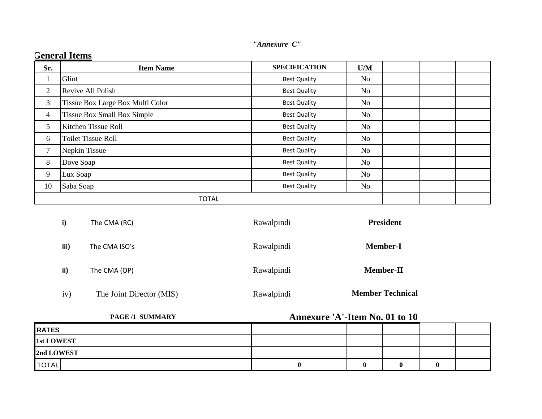| Sr.            | <b>Item Name</b>                   | <b>SPECIFICATION</b> | U/M            |  |  |
|----------------|------------------------------------|----------------------|----------------|--|--|
|                | Glint                              | <b>Best Quality</b>  | No.            |  |  |
| $\overline{2}$ | Revive All Polish                  | <b>Best Quality</b>  | No             |  |  |
| 3              | Tissue Box Large Box Multi Color   | <b>Best Quality</b>  | No             |  |  |
| $\overline{4}$ | <b>Tissue Box Small Box Simple</b> | <b>Best Quality</b>  | No             |  |  |
| 5              | Kitchen Tissue Roll                | <b>Best Quality</b>  | No             |  |  |
| 6              | <b>Toilet Tissue Roll</b>          | <b>Best Quality</b>  | No             |  |  |
| 7              | Nepkin Tissue                      | <b>Best Quality</b>  | N <sub>0</sub> |  |  |
| 8              | Dove Soap                          | <b>Best Quality</b>  | N <sub>o</sub> |  |  |
| 9              | Lux Soap                           | <b>Best Quality</b>  | N <sub>o</sub> |  |  |
| 10             | Saba Soap                          | <b>Best Quality</b>  | No             |  |  |
|                | <b>TOTAL</b>                       |                      |                |  |  |

| i)   | The CMA (RC)             | Rawalpindi | <b>President</b>        |  |
|------|--------------------------|------------|-------------------------|--|
| iii) | The CMA ISO's            | Rawalpindi | <b>Member-I</b>         |  |
| ii)  | The CMA (OP)             | Rawalpindi | <b>Member-II</b>        |  |
| 1V)  | The Joint Director (MIS) | Rawalpindi | <b>Member Technical</b> |  |

| <b>PAGE/1 SUMMARY</b> | Annexure 'A'-Item No. 01 to 10 |  |  |   |  |
|-----------------------|--------------------------------|--|--|---|--|
| <b>RATES</b>          |                                |  |  |   |  |
| <b>1st LOWEST</b>     |                                |  |  |   |  |
| 2nd LOWEST            |                                |  |  |   |  |
| <b>TOTAL</b>          |                                |  |  | u |  |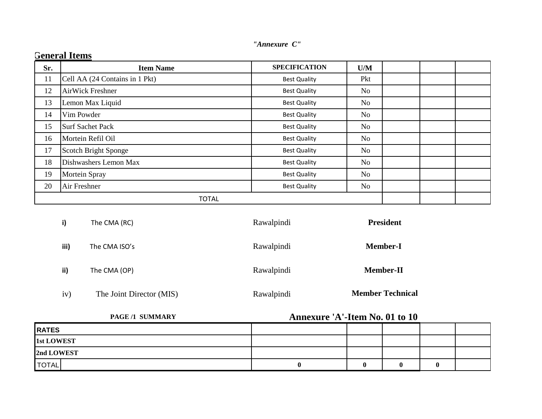| "Annexure C" |  |
|--------------|--|
|              |  |

| Sr. | <b>Item Name</b>               | <b>SPECIFICATION</b> | U/M            |  |
|-----|--------------------------------|----------------------|----------------|--|
| 11  | Cell AA (24 Contains in 1 Pkt) | <b>Best Quality</b>  | Pkt            |  |
| 12  | AirWick Freshner               | <b>Best Quality</b>  | No             |  |
| 13  | Lemon Max Liquid               | <b>Best Quality</b>  | No             |  |
| 14  | Vim Powder                     | <b>Best Quality</b>  | No             |  |
| 15  | <b>Surf Sachet Pack</b>        | <b>Best Quality</b>  | No             |  |
| 16  | Mortein Refil Oil              | <b>Best Quality</b>  | N <sub>o</sub> |  |
| 17  | <b>Scotch Bright Sponge</b>    | <b>Best Quality</b>  | No             |  |
| 18  | Dishwashers Lemon Max          | <b>Best Quality</b>  | No             |  |
| 19  | Mortein Spray                  | <b>Best Quality</b>  | No             |  |
| 20  | Air Freshner                   | <b>Best Quality</b>  | No             |  |
|     | <b>TOTAL</b>                   |                      |                |  |

### **General Items**

| i)   | The CMA (RC)             | Rawalpindi | <b>President</b>        |
|------|--------------------------|------------|-------------------------|
| iii) | The CMA ISO's            | Rawalpindi | <b>Member-I</b>         |
| ii)  | The CMA (OP)             | Rawalpindi | <b>Member-II</b>        |
| iv)  | The Joint Director (MIS) | Rawalpindi | <b>Member Technical</b> |

**PAGE /1 SUMMARY Annexure 'A'-Item No. 01 to 10**

| <b>RATES</b> |  |   |  |
|--------------|--|---|--|
| 1st LOWEST   |  |   |  |
| 2nd LOWEST   |  |   |  |
| <b>TOTAL</b> |  | 0 |  |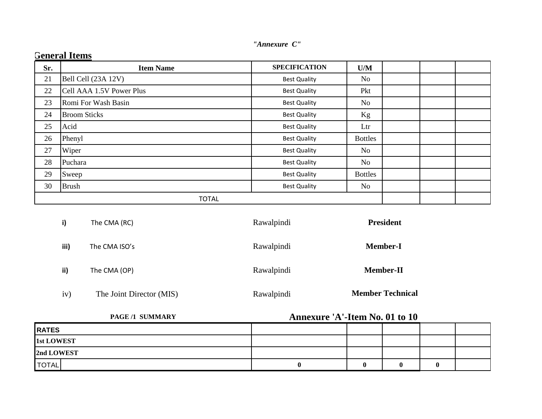| "Annexure C" |  |
|--------------|--|

| Sr. | <b>Item Name</b>         | <b>SPECIFICATION</b> | U/M            |  |  |  |
|-----|--------------------------|----------------------|----------------|--|--|--|
| 21  | Bell Cell (23A 12V)      | <b>Best Quality</b>  | No             |  |  |  |
| 22  | Cell AAA 1.5V Power Plus | <b>Best Quality</b>  | Pkt            |  |  |  |
| 23  | Romi For Wash Basin      | <b>Best Quality</b>  | N <sub>o</sub> |  |  |  |
| 24  | <b>Broom Sticks</b>      | <b>Best Quality</b>  | Kg             |  |  |  |
| 25  | Acid                     | <b>Best Quality</b>  | Ltr            |  |  |  |
| 26  | Phenyl                   | <b>Best Quality</b>  | <b>Bottles</b> |  |  |  |
| 27  | Wiper                    | <b>Best Quality</b>  | No             |  |  |  |
| 28  | Puchara                  | <b>Best Quality</b>  | N <sub>o</sub> |  |  |  |
| 29  | <b>Sweep</b>             | <b>Best Quality</b>  | <b>Bottles</b> |  |  |  |
| 30  | <b>Brush</b>             | <b>Best Quality</b>  | No             |  |  |  |
|     | <b>TOTAL</b>             |                      |                |  |  |  |

| i)   | The CMA (RC)             | Rawalpindi | <b>President</b>        |
|------|--------------------------|------------|-------------------------|
| iii) | The CMA ISO's            | Rawalpindi | <b>Member-I</b>         |
| ii)  | The CMA (OP)             | Rawalpindi | <b>Member-II</b>        |
| 1V)  | The Joint Director (MIS) | Rawalpindi | <b>Member Technical</b> |

| PAGE/1 SUMMARY | Annexure 'A'-Item No. 01 to 10 |  |   |  |
|----------------|--------------------------------|--|---|--|
| <b>RATES</b>   |                                |  |   |  |
| 1st LOWEST     |                                |  |   |  |
| 2nd LOWEST     |                                |  |   |  |
| <b>TOTAL</b>   |                                |  | u |  |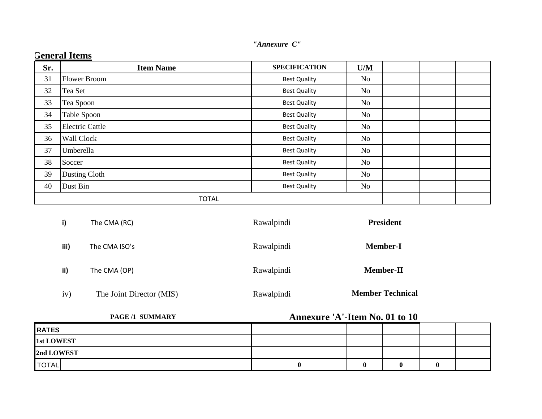| Sr. | <b>Item Name</b>       | <b>SPECIFICATION</b> | U/M            |  |  |
|-----|------------------------|----------------------|----------------|--|--|
| 31  | <b>Flower Broom</b>    | <b>Best Quality</b>  | No             |  |  |
| 32  | Tea Set                | <b>Best Quality</b>  | No             |  |  |
| 33  | Tea Spoon              | <b>Best Quality</b>  | No             |  |  |
| 34  | Table Spoon            | <b>Best Quality</b>  | No             |  |  |
| 35  | <b>Electric Cattle</b> | <b>Best Quality</b>  | No             |  |  |
| 36  | <b>Wall Clock</b>      | <b>Best Quality</b>  | No             |  |  |
| 37  | Umberella              | <b>Best Quality</b>  | N <sub>o</sub> |  |  |
| 38  | Soccer                 | <b>Best Quality</b>  | No             |  |  |
| 39  | Dusting Cloth          | <b>Best Quality</b>  | N <sub>o</sub> |  |  |
| 40  | Dust Bin               | <b>Best Quality</b>  | No             |  |  |
|     | <b>TOTAL</b>           |                      |                |  |  |

| i)   | The CMA (RC)  | Rawalpindi | President        |
|------|---------------|------------|------------------|
| iii) | The CMA ISO's | Rawalpindi | <b>Member-I</b>  |
| ii)  | The CMA (OP)  | Rawalpindi | <b>Member-II</b> |

iv) The Joint Director (MIS) Rawalpindi

 **Member Technical**

| PAGE/1 SUMMARY    | Annexure 'A'-Item No. 01 to 10 |   |              |  |
|-------------------|--------------------------------|---|--------------|--|
| <b>RATES</b>      |                                |   |              |  |
| <b>1st LOWEST</b> |                                |   |              |  |
| 2nd LOWEST        |                                |   |              |  |
| <b>TOTAL</b>      |                                | 0 | $\mathbf{0}$ |  |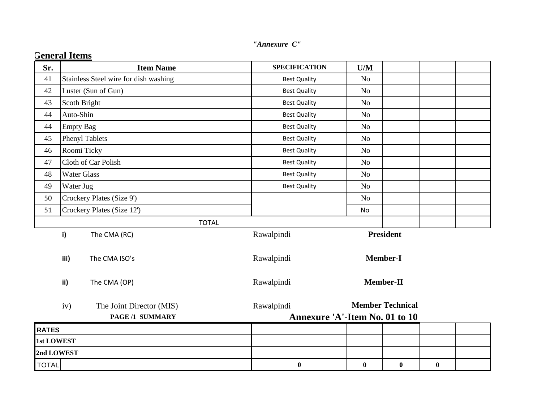| Sr.               | <b>Item Name</b>                                   | <b>SPECIFICATION</b>                         | U/M            |                         |          |  |
|-------------------|----------------------------------------------------|----------------------------------------------|----------------|-------------------------|----------|--|
| 41                | Stainless Steel wire for dish washing              | <b>Best Quality</b>                          | <b>No</b>      |                         |          |  |
| 42                | Luster (Sun of Gun)                                | <b>Best Quality</b>                          | N <sub>o</sub> |                         |          |  |
| 43                | Scoth Bright                                       | <b>Best Quality</b>                          | N <sub>o</sub> |                         |          |  |
| 44                | Auto-Shin                                          | <b>Best Quality</b>                          | N <sub>o</sub> |                         |          |  |
| 44                | <b>Empty Bag</b>                                   | <b>Best Quality</b>                          | N <sub>o</sub> |                         |          |  |
| 45                | <b>Phenyl Tablets</b>                              | <b>Best Quality</b>                          | N <sub>o</sub> |                         |          |  |
| 46                | Roomi Ticky                                        | <b>Best Quality</b>                          | N <sub>o</sub> |                         |          |  |
| 47                | Cloth of Car Polish                                | <b>Best Quality</b>                          | N <sub>o</sub> |                         |          |  |
| 48                | <b>Water Glass</b>                                 | <b>Best Quality</b>                          | N <sub>o</sub> |                         |          |  |
| 49                | Water Jug                                          | <b>Best Quality</b>                          | No             |                         |          |  |
| 50                | Crockery Plates (Size 9')                          |                                              | N <sub>o</sub> |                         |          |  |
| 51                | Crockery Plates (Size 12')                         |                                              | No             |                         |          |  |
|                   | <b>TOTAL</b>                                       |                                              |                |                         |          |  |
|                   | i)<br>The CMA (RC)                                 | Rawalpindi                                   |                | <b>President</b>        |          |  |
|                   | iii)<br>The CMA ISO's                              | Rawalpindi                                   |                | <b>Member-I</b>         |          |  |
|                   | ii)<br>The CMA (OP)                                | Rawalpindi                                   |                | <b>Member-II</b>        |          |  |
|                   | iv)<br>The Joint Director (MIS)<br>PAGE /1 SUMMARY | Rawalpindi<br>Annexure 'A'-Item No. 01 to 10 |                | <b>Member Technical</b> |          |  |
| <b>RATES</b>      |                                                    |                                              |                |                         |          |  |
| <b>1st LOWEST</b> |                                                    |                                              |                |                         |          |  |
| 2nd LOWEST        |                                                    |                                              |                |                         |          |  |
| <b>TOTAL</b>      |                                                    | $\boldsymbol{0}$                             | $\bf{0}$       | $\bf{0}$                | $\bf{0}$ |  |

## **<u>General Items</u>**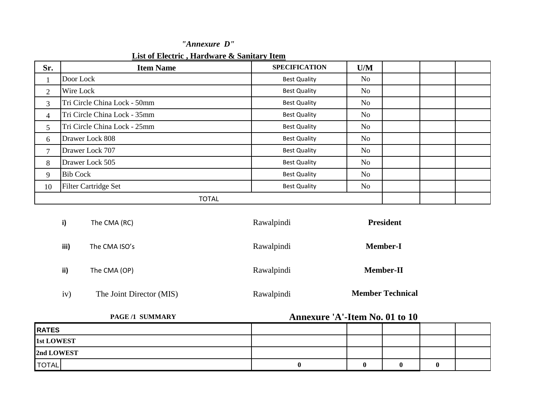#### **List of Electric , Hardware & Sanitary Item**

| Sr.            | <b>Item Name</b>             | <b>SPECIFICATION</b> | U/M |  |  |
|----------------|------------------------------|----------------------|-----|--|--|
| $\mathbf{I}$   | Door Lock                    | <b>Best Quality</b>  | No  |  |  |
| $\overline{2}$ | Wire Lock                    | <b>Best Quality</b>  | No  |  |  |
| 3              | Tri Circle China Lock - 50mm | <b>Best Quality</b>  | No  |  |  |
| $\overline{4}$ | Tri Circle China Lock - 35mm | <b>Best Quality</b>  | No  |  |  |
| 5              | Tri Circle China Lock - 25mm | <b>Best Quality</b>  | No  |  |  |
| 6              | Drawer Lock 808              | <b>Best Quality</b>  | No  |  |  |
| $\tau$         | Drawer Lock 707              | <b>Best Quality</b>  | No  |  |  |
| 8              | Drawer Lock 505              | <b>Best Quality</b>  | No  |  |  |
| 9              | <b>Bib Cock</b>              | <b>Best Quality</b>  | No  |  |  |
| 10             | <b>Filter Cartridge Set</b>  | <b>Best Quality</b>  | No  |  |  |
|                | <b>TOTAL</b>                 |                      |     |  |  |

| i)   | The CMA (RC)             | Rawalpindi | <b>President</b>        |
|------|--------------------------|------------|-------------------------|
| iii) | The CMA ISO's            | Rawalpindi | <b>Member-I</b>         |
| ii)  | The CMA (OP)             | Rawalpindi | <b>Member-II</b>        |
| iv)  | The Joint Director (MIS) | Rawalpindi | <b>Member Technical</b> |

iv) The Joint Director (MIS) Rawalpindi

**PAGE /1 SUMMARY Annexure 'A'-Item No. 01 to 10**

| <b>RATES</b> |   |  |  |
|--------------|---|--|--|
| 1st LOWEST   |   |  |  |
| 2nd LOWEST   |   |  |  |
| <b>TOTAL</b> | 0 |  |  |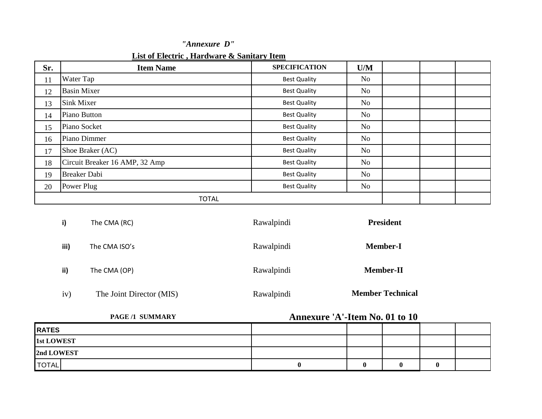| Sr. | <b>Item Name</b>               | <b>SPECIFICATION</b> | U/M            |  |  |
|-----|--------------------------------|----------------------|----------------|--|--|
| 11  | Water Tap                      | <b>Best Quality</b>  | N <sub>o</sub> |  |  |
| 12  | <b>Basin Mixer</b>             | <b>Best Quality</b>  | N <sub>o</sub> |  |  |
| 13  | Sink Mixer                     | <b>Best Quality</b>  | N <sub>o</sub> |  |  |
| 14  | Piano Button                   | <b>Best Quality</b>  | No             |  |  |
| 15  | Piano Socket                   | <b>Best Quality</b>  | N <sub>o</sub> |  |  |
| 16  | Piano Dimmer                   | <b>Best Quality</b>  | No             |  |  |
| 17  | Shoe Braker (AC)               | <b>Best Quality</b>  | No             |  |  |
| 18  | Circuit Breaker 16 AMP, 32 Amp | <b>Best Quality</b>  | No             |  |  |
| 19  | <b>Breaker Dabi</b>            | <b>Best Quality</b>  | No             |  |  |
| 20  | Power Plug                     | <b>Best Quality</b>  | No             |  |  |
|     | <b>TOTAL</b>                   |                      |                |  |  |

| i)   | The CMA (RC)             | Rawalpindi | <b>President</b>        |
|------|--------------------------|------------|-------------------------|
| iii) | The CMA ISO's            | Rawalpindi | <b>Member-I</b>         |
| ii)  | The CMA (OP)             | Rawalpindi | <b>Member-II</b>        |
| iv)  | The Joint Director (MIS) | Rawalpindi | <b>Member Technical</b> |

| <b>PAGE /1 SUMMARY</b> | Annexure 'A'-Item No. 01 to 10 |  |  |
|------------------------|--------------------------------|--|--|
| <b>RATES</b>           |                                |  |  |
| <b>1st LOWEST</b>      |                                |  |  |
| 2nd LOWEST             |                                |  |  |
| <b>TOTAL</b>           |                                |  |  |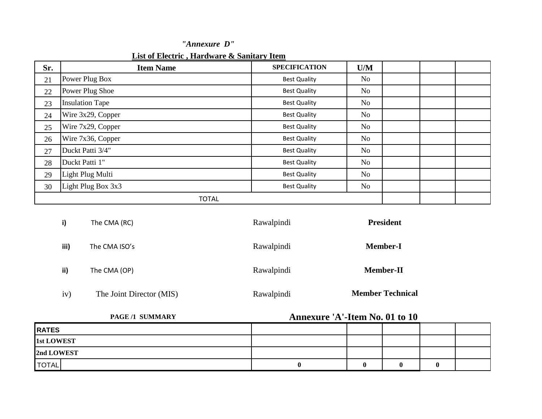| List of Electric, Hardware & Sanitary Item |  |  |  |
|--------------------------------------------|--|--|--|
|--------------------------------------------|--|--|--|

| Sr. | <b>Item Name</b>       | <b>SPECIFICATION</b> | U/M            |  |  |
|-----|------------------------|----------------------|----------------|--|--|
| 21  | Power Plug Box         | <b>Best Quality</b>  | No             |  |  |
| 22  | Power Plug Shoe        | <b>Best Quality</b>  | No             |  |  |
| 23  | <b>Insulation Tape</b> | <b>Best Quality</b>  | N <sub>o</sub> |  |  |
| 24  | Wire 3x29, Copper      | <b>Best Quality</b>  | No             |  |  |
| 25  | Wire 7x29, Copper      | <b>Best Quality</b>  | No             |  |  |
| 26  | Wire 7x36, Copper      | <b>Best Quality</b>  | No             |  |  |
| 27  | Duckt Patti 3/4"       | <b>Best Quality</b>  | N <sub>o</sub> |  |  |
| 28  | Duckt Patti 1"         | <b>Best Quality</b>  | N <sub>o</sub> |  |  |
| 29  | Light Plug Multi       | <b>Best Quality</b>  | No             |  |  |
| 30  | Light Plug Box 3x3     | <b>Best Quality</b>  | No             |  |  |
|     | <b>TOTAL</b>           |                      |                |  |  |

| i)   | The CMA (RC)             | Rawalpindi | <b>President</b>        |
|------|--------------------------|------------|-------------------------|
| iii) | The CMA ISO's            | Rawalpindi | <b>Member-I</b>         |
| ii)  | The CMA (OP)             | Rawalpindi | <b>Member-II</b>        |
| iv)  | The Joint Director (MIS) | Rawalpindi | <b>Member Technical</b> |

| <b>PAGE/1 SUMMARY</b> | <b>Annexure 'A'-Item No. 01 to 10</b> |  |   |  |
|-----------------------|---------------------------------------|--|---|--|
| <b>RATES</b>          |                                       |  |   |  |
| <b>1st LOWEST</b>     |                                       |  |   |  |
| 2nd LOWEST            |                                       |  |   |  |
| <b>TOTAL</b>          |                                       |  | O |  |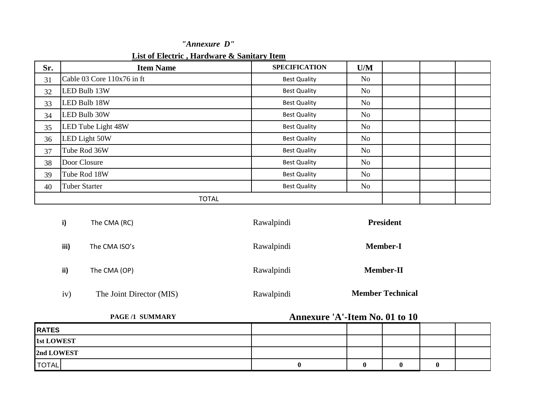| List of Electric, Hardware & Sanitary Item |  |  |  |
|--------------------------------------------|--|--|--|
|--------------------------------------------|--|--|--|

| Sr. | <b>Item Name</b>           | <b>SPECIFICATION</b> | U/M            |  |  |
|-----|----------------------------|----------------------|----------------|--|--|
| 31  | Cable 03 Core 110x76 in ft | <b>Best Quality</b>  | N <sub>o</sub> |  |  |
| 32  | LED Bulb 13W               | <b>Best Quality</b>  | No             |  |  |
| 33  | LED Bulb 18W               | <b>Best Quality</b>  | N <sub>o</sub> |  |  |
| 34  | LED Bulb 30W               | <b>Best Quality</b>  | No             |  |  |
| 35  | LED Tube Light 48W         | <b>Best Quality</b>  | N <sub>o</sub> |  |  |
| 36  | LED Light 50W              | <b>Best Quality</b>  | No             |  |  |
| 37  | Tube Rod 36W               | <b>Best Quality</b>  | N <sub>o</sub> |  |  |
| 38  | Door Closure               | <b>Best Quality</b>  | N <sub>o</sub> |  |  |
| 39  | Tube Rod 18W               | <b>Best Quality</b>  | No             |  |  |
| 40  | <b>Tuber Starter</b>       | <b>Best Quality</b>  | No             |  |  |
|     | <b>TOTAL</b>               |                      |                |  |  |

| i)   | The CMA (RC)             | Rawalpindi | <b>President</b>        |
|------|--------------------------|------------|-------------------------|
| iii) | The CMA ISO's            | Rawalpindi | <b>Member-I</b>         |
| ii)  | The CMA (OP)             | Rawalpindi | <b>Member-II</b>        |
| iv)  | The Joint Director (MIS) | Rawalpindi | <b>Member Technical</b> |

| PAGE/1 SUMMARY    | <b>Annexure 'A'-Item No. 01 to 10</b> |  |  |
|-------------------|---------------------------------------|--|--|
| <b>RATES</b>      |                                       |  |  |
| <b>1st LOWEST</b> |                                       |  |  |
| 2nd LOWEST        |                                       |  |  |
| <b>TOTAL</b>      |                                       |  |  |